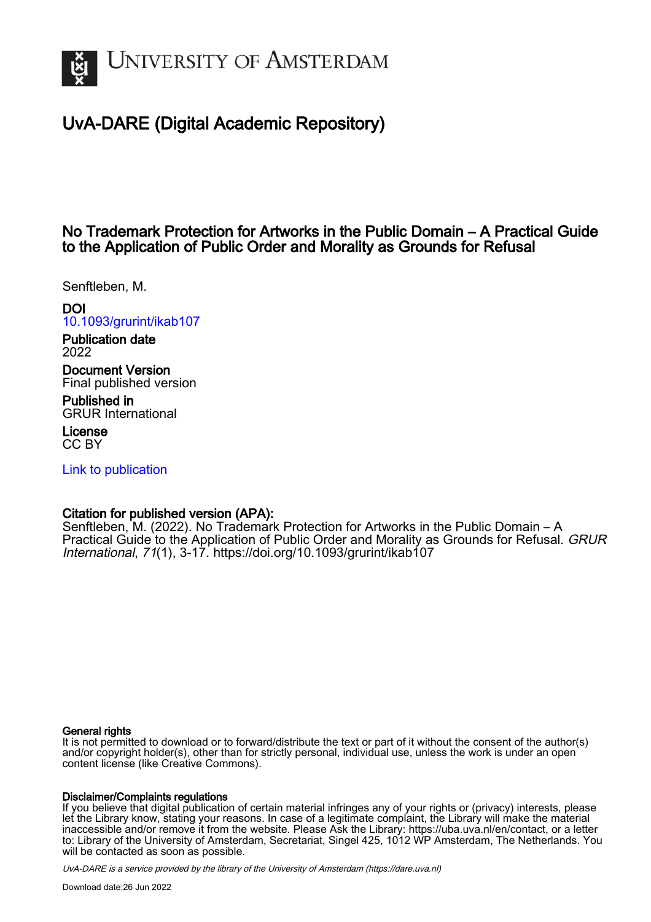

# UvA-DARE (Digital Academic Repository)

# No Trademark Protection for Artworks in the Public Domain – A Practical Guide to the Application of Public Order and Morality as Grounds for Refusal

Senftleben, M.

DOI

[10.1093/grurint/ikab107](https://doi.org/10.1093/grurint/ikab107)

Publication date 2022

Document Version Final published version

Published in GRUR International

License CC BY

[Link to publication](https://dare.uva.nl/personal/pure/en/publications/no-trademark-protection-for-artworks-in-the-public-domain--a-practical-guide-to-the-application-of-public-order-and-morality-as-grounds-for-refusal(fab8214f-e515-46fc-a322-f96fc815c591).html)

## Citation for published version (APA):

Senftleben, M. (2022). No Trademark Protection for Artworks in the Public Domain – A Practical Guide to the Application of Public Order and Morality as Grounds for Refusal. GRUR International, 71(1), 3-17. <https://doi.org/10.1093/grurint/ikab107>

#### General rights

It is not permitted to download or to forward/distribute the text or part of it without the consent of the author(s) and/or copyright holder(s), other than for strictly personal, individual use, unless the work is under an open content license (like Creative Commons).

#### Disclaimer/Complaints regulations

If you believe that digital publication of certain material infringes any of your rights or (privacy) interests, please let the Library know, stating your reasons. In case of a legitimate complaint, the Library will make the material inaccessible and/or remove it from the website. Please Ask the Library: https://uba.uva.nl/en/contact, or a letter to: Library of the University of Amsterdam, Secretariat, Singel 425, 1012 WP Amsterdam, The Netherlands. You will be contacted as soon as possible.

UvA-DARE is a service provided by the library of the University of Amsterdam (http*s*://dare.uva.nl)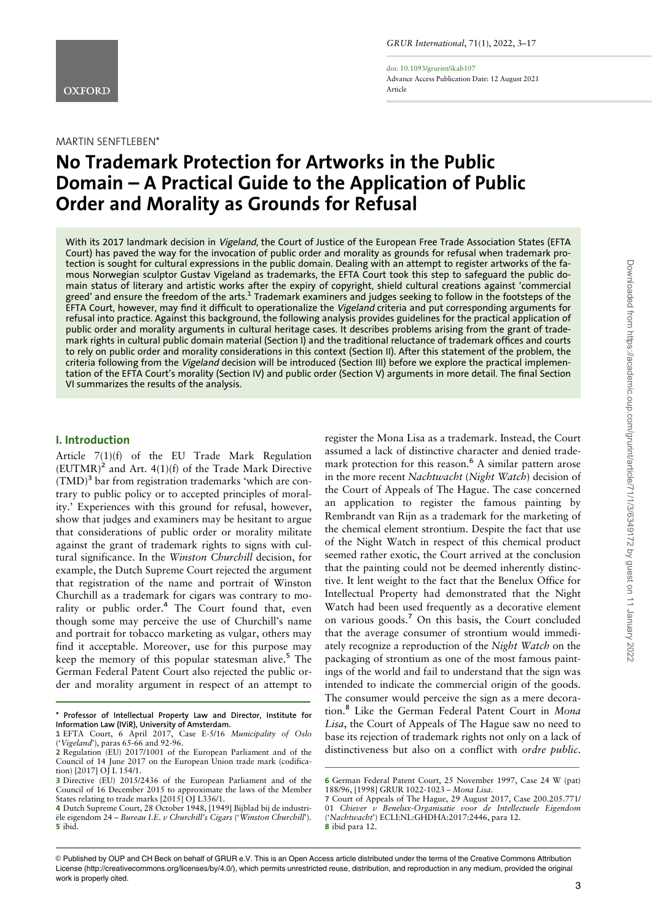

doi: 10.1093/grurint/ikab107 Advance Access Publication Date: 12 August 2021 Article

#### MARTIN SENFTLEBEN\*

# No Trademark Protection for Artworks in the Public Domain – A Practical Guide to the Application of Public Order and Morality as Grounds for Refusal

With its 2017 landmark decision in Vigeland, the Court of Justice of the European Free Trade Association States (EFTA Court) has paved the way for the invocation of public order and morality as grounds for refusal when trademark protection is sought for cultural expressions in the public domain. Dealing with an attempt to register artworks of the famous Norwegian sculptor Gustav Vigeland as trademarks, the EFTA Court took this step to safeguard the public domain status of literary and artistic works after the expiry of copyright, shield cultural creations against 'commercial greed' and ensure the freedom of the arts.<sup>1</sup> Trademark examiners and judges seeking to follow in the footsteps of the EFTA Court, however, may find it difficult to operationalize the Vigeland criteria and put corresponding arguments for refusal into practice. Against this background, the following analysis provides guidelines for the practical application of public order and morality arguments in cultural heritage cases. It describes problems arising from the grant of trademark rights in cultural public domain material (Section I) and the traditional reluctance of trademark offices and courts to rely on public order and morality considerations in this context (Section II). After this statement of the problem, the criteria following from the Vigeland decision will be introduced (Section III) before we explore the practical implementation of the EFTA Court's morality (Section IV) and public order (Section V) arguments in more detail. The final Section VI summarizes the results of the analysis.

#### I. Introduction

Article 7(1)(f) of the EU Trade Mark Regulation  $(EUTMR)^2$  and Art.  $4(1)(f)$  of the Trade Mark Directive  $(TMD)^3$  bar from registration trademarks 'which are contrary to public policy or to accepted principles of morality.' Experiences with this ground for refusal, however, show that judges and examiners may be hesitant to argue that considerations of public order or morality militate against the grant of trademark rights to signs with cultural significance. In the Winston Churchill decision, for example, the Dutch Supreme Court rejected the argument that registration of the name and portrait of Winston Churchill as a trademark for cigars was contrary to morality or public order.<sup>4</sup> The Court found that, even though some may perceive the use of Churchill's name and portrait for tobacco marketing as vulgar, others may find it acceptable. Moreover, use for this purpose may keep the memory of this popular statesman alive.<sup>5</sup> The German Federal Patent Court also rejected the public order and morality argument in respect of an attempt to register the Mona Lisa as a trademark. Instead, the Court assumed a lack of distinctive character and denied trademark protection for this reason.<sup>6</sup> A similar pattern arose in the more recent Nachtwacht (Night Watch) decision of the Court of Appeals of The Hague. The case concerned an application to register the famous painting by Rembrandt van Rijn as a trademark for the marketing of the chemical element strontium. Despite the fact that use of the Night Watch in respect of this chemical product seemed rather exotic, the Court arrived at the conclusion that the painting could not be deemed inherently distinctive. It lent weight to the fact that the Benelux Office for Intellectual Property had demonstrated that the Night Watch had been used frequently as a decorative element on various goods.<sup>7</sup> On this basis, the Court concluded that the average consumer of strontium would immediately recognize a reproduction of the Night Watch on the packaging of strontium as one of the most famous paintings of the world and fail to understand that the sign was intended to indicate the commercial origin of the goods. The consumer would perceive the sign as a mere decoration.<sup>8</sup> Like the German Federal Patent Court in Mona Lisa, the Court of Appeals of The Hague saw no need to base its rejection of trademark rights not only on a lack of distinctiveness but also on a conflict with ordre public.

<sup>\*</sup> Professor of Intellectual Property Law and Director, Institute for Information Law (IViR), University of Amsterdam.

<sup>1</sup> EFTA Court, 6 April 2017, Case E-5/16 Municipality of Oslo ('Vigeland'), paras 65-66 and 92-96.

<sup>2</sup> Regulation (EU) 2017/1001 of the European Parliament and of the Council of 14 June 2017 on the European Union trade mark (codification) [2017] OJ L 154/1.

<sup>3</sup> Directive (EU) 2015/2436 of the European Parliament and of the Council of 16 December 2015 to approximate the laws of the Member States relating to trade marks [2015] OJ L336/1.

<sup>4</sup> Dutch Supreme Court, 28 October 1948, [1949] Bijblad bij de industriële eigendom 24 – Bureau I.E. v Churchill's Cigars ('Winston Churchill'). 5 ibid.

<sup>6</sup> German Federal Patent Court, 25 November 1997, Case 24 W (pat) 188/96, [1998] GRUR 1022-1023 – Mona Lisa.

<sup>7</sup> Court of Appeals of The Hague, 29 August 2017, Case 200.205.771/ 01 Chiever v Benelux-Organisatie voor de Intellectuele Eigendom ('Nachtwacht') ECLI:NL:GHDHA:2017:2446, para 12. 8 ibid para 12.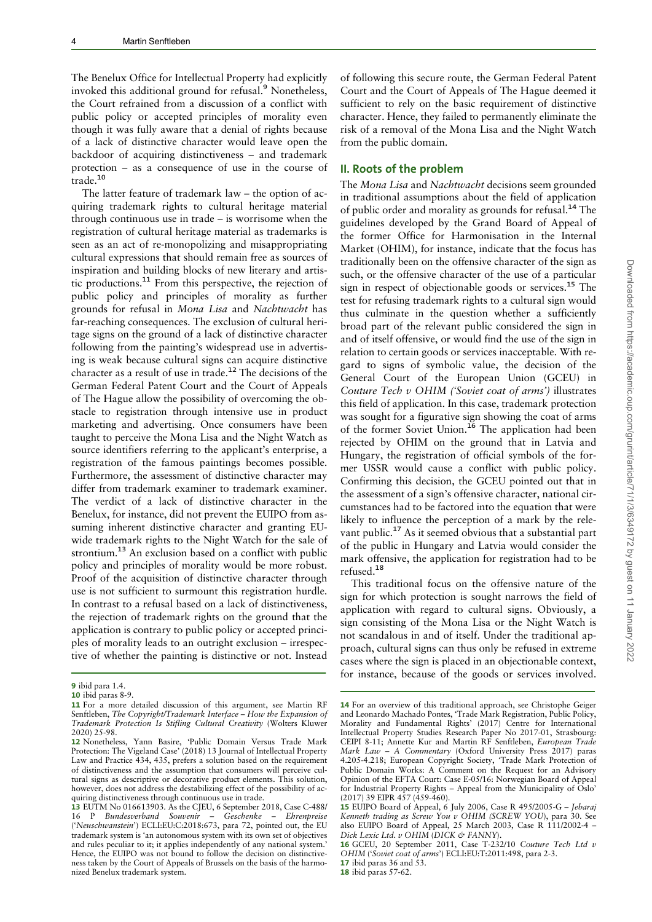The Benelux Office for Intellectual Property had explicitly invoked this additional ground for refusal.<sup>9</sup> Nonetheless, the Court refrained from a discussion of a conflict with public policy or accepted principles of morality even though it was fully aware that a denial of rights because of a lack of distinctive character would leave open the backdoor of acquiring distinctiveness – and trademark protection – as a consequence of use in the course of trade.<sup>10</sup>

The latter feature of trademark law – the option of acquiring trademark rights to cultural heritage material through continuous use in trade – is worrisome when the registration of cultural heritage material as trademarks is seen as an act of re-monopolizing and misappropriating cultural expressions that should remain free as sources of inspiration and building blocks of new literary and artistic productions.<sup>11</sup> From this perspective, the rejection of public policy and principles of morality as further grounds for refusal in Mona Lisa and Nachtwacht has far-reaching consequences. The exclusion of cultural heritage signs on the ground of a lack of distinctive character following from the painting's widespread use in advertising is weak because cultural signs can acquire distinctive character as a result of use in trade.<sup>12</sup> The decisions of the German Federal Patent Court and the Court of Appeals of The Hague allow the possibility of overcoming the obstacle to registration through intensive use in product marketing and advertising. Once consumers have been taught to perceive the Mona Lisa and the Night Watch as source identifiers referring to the applicant's enterprise, a registration of the famous paintings becomes possible. Furthermore, the assessment of distinctive character may differ from trademark examiner to trademark examiner. The verdict of a lack of distinctive character in the Benelux, for instance, did not prevent the EUIPO from assuming inherent distinctive character and granting EUwide trademark rights to the Night Watch for the sale of strontium.<sup>13</sup> An exclusion based on a conflict with public policy and principles of morality would be more robust. Proof of the acquisition of distinctive character through use is not sufficient to surmount this registration hurdle. In contrast to a refusal based on a lack of distinctiveness, the rejection of trademark rights on the ground that the application is contrary to public policy or accepted principles of morality leads to an outright exclusion – irrespective of whether the painting is distinctive or not. Instead

of following this secure route, the German Federal Patent Court and the Court of Appeals of The Hague deemed it sufficient to rely on the basic requirement of distinctive character. Hence, they failed to permanently eliminate the risk of a removal of the Mona Lisa and the Night Watch from the public domain.

#### II. Roots of the problem

The Mona Lisa and Nachtwacht decisions seem grounded in traditional assumptions about the field of application of public order and morality as grounds for refusal.<sup>14</sup> The guidelines developed by the Grand Board of Appeal of the former Office for Harmonisation in the Internal Market (OHIM), for instance, indicate that the focus has traditionally been on the offensive character of the sign as such, or the offensive character of the use of a particular sign in respect of objectionable goods or services.<sup>15</sup> The test for refusing trademark rights to a cultural sign would thus culminate in the question whether a sufficiently broad part of the relevant public considered the sign in and of itself offensive, or would find the use of the sign in relation to certain goods or services inacceptable. With regard to signs of symbolic value, the decision of the General Court of the European Union (GCEU) in Couture Tech v OHIM ('Soviet coat of arms') illustrates this field of application. In this case, trademark protection was sought for a figurative sign showing the coat of arms of the former Soviet Union.<sup>16</sup> The application had been rejected by OHIM on the ground that in Latvia and Hungary, the registration of official symbols of the former USSR would cause a conflict with public policy. Confirming this decision, the GCEU pointed out that in the assessment of a sign's offensive character, national circumstances had to be factored into the equation that were likely to influence the perception of a mark by the relevant public.<sup>17</sup> As it seemed obvious that a substantial part of the public in Hungary and Latvia would consider the mark offensive, the application for registration had to be refused.<sup>18</sup>

This traditional focus on the offensive nature of the sign for which protection is sought narrows the field of application with regard to cultural signs. Obviously, a sign consisting of the Mona Lisa or the Night Watch is not scandalous in and of itself. Under the traditional approach, cultural signs can thus only be refused in extreme cases where the sign is placed in an objectionable context, for instance, because of the goods or services involved.

17 ibid paras 36 and 53.

<sup>9</sup> ibid para 1.4.

<sup>10</sup> ibid paras 8-9.

<sup>11</sup> For a more detailed discussion of this argument, see Martin RF Senftleben, The Copyright/Trademark Interface – How the Expansion of Trademark Protection Is Stifling Cultural Creativity (Wolters Kluwer 2020) 25-98.

<sup>12</sup> Nonetheless, Yann Basire, 'Public Domain Versus Trade Mark Protection: The Vigeland Case' (2018) 13 Journal of Intellectual Property Law and Practice 434, 435, prefers a solution based on the requirement of distinctiveness and the assumption that consumers will perceive cultural signs as descriptive or decorative product elements. This solution, however, does not address the destabilizing effect of the possibility of acquiring distinctiveness through continuous use in trade.

<sup>13</sup> EUTM No 016613903. As the CJEU, 6 September 2018, Case C-488/ 16 P Bundesverband Souvenir – Geschenke – Ehrenpreise ('Neuschwanstein') ECLI:EU:C:2018:673, para 72, pointed out, the EU trademark system is 'an autonomous system with its own set of objectives and rules peculiar to it; it applies independently of any national system.' Hence, the EUIPO was not bound to follow the decision on distinctiveness taken by the Court of Appeals of Brussels on the basis of the harmonized Benelux trademark system.

<sup>14</sup> For an overview of this traditional approach, see Christophe Geiger and Leonardo Machado Pontes, 'Trade Mark Registration, Public Policy, Morality and Fundamental Rights' (2017) Centre for International Intellectual Property Studies Research Paper No 2017-01, Strasbourg: CEIPI 8-11; Annette Kur and Martin RF Senftleben, European Trade Mark Law – A Commentary (Oxford University Press 2017) paras 4.205-4.218; European Copyright Society, 'Trade Mark Protection of Public Domain Works: A Comment on the Request for an Advisory Opinion of the EFTA Court: Case E-05/16: Norwegian Board of Appeal for Industrial Property Rights – Appeal from the Municipality of Oslo' (2017) 39 EIPR 457 (459-460).

<sup>15</sup> EUIPO Board of Appeal, 6 July 2006, Case R 495/2005-G – Jebaraj Kenneth trading as Screw You v OHIM (SCREW YOU), para 30. See also EUIPO Board of Appeal, 25 March 2003, Case R 111/2002-4 – Dick Lexic Ltd.  $v$  OHIM (DICK & FANNY).

<sup>16</sup> GCEU, 20 September 2011, Case T-232/10 Couture Tech Ltd v OHIM ('Soviet coat of arms') ECLI:EU:T:2011:498, para 2-3.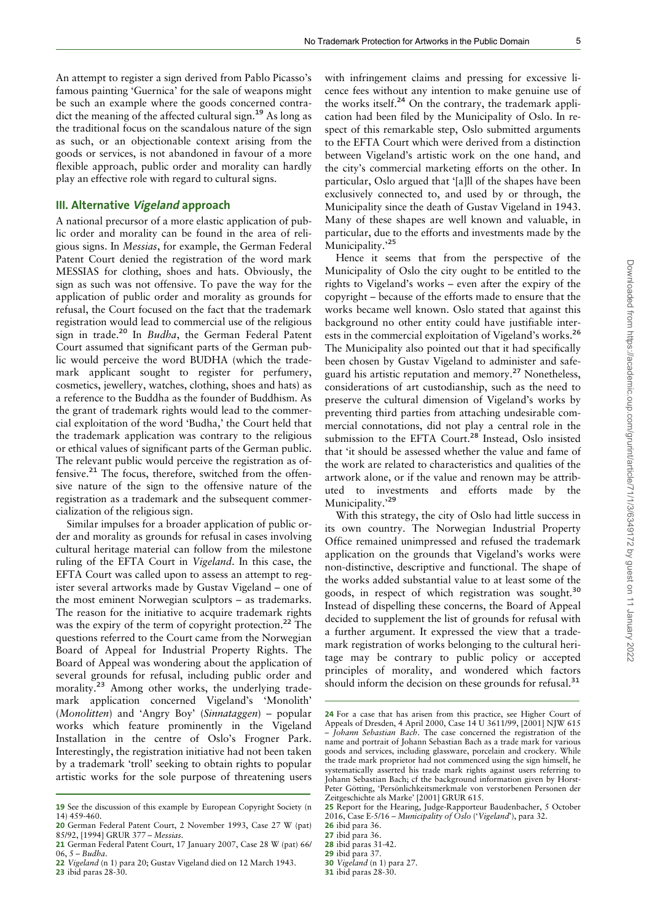An attempt to register a sign derived from Pablo Picasso's famous painting 'Guernica' for the sale of weapons might be such an example where the goods concerned contradict the meaning of the affected cultural sign.<sup>19</sup> As long as the traditional focus on the scandalous nature of the sign as such, or an objectionable context arising from the goods or services, is not abandoned in favour of a more flexible approach, public order and morality can hardly play an effective role with regard to cultural signs.

#### III. Alternative Vigeland approach

A national precursor of a more elastic application of public order and morality can be found in the area of religious signs. In Messias, for example, the German Federal Patent Court denied the registration of the word mark MESSIAS for clothing, shoes and hats. Obviously, the sign as such was not offensive. To pave the way for the application of public order and morality as grounds for refusal, the Court focused on the fact that the trademark registration would lead to commercial use of the religious sign in trade.<sup>20</sup> In *Budha*, the German Federal Patent Court assumed that significant parts of the German public would perceive the word BUDHA (which the trademark applicant sought to register for perfumery, cosmetics, jewellery, watches, clothing, shoes and hats) as a reference to the Buddha as the founder of Buddhism. As the grant of trademark rights would lead to the commercial exploitation of the word 'Budha,' the Court held that the trademark application was contrary to the religious or ethical values of significant parts of the German public. The relevant public would perceive the registration as offensive.<sup>21</sup> The focus, therefore, switched from the offensive nature of the sign to the offensive nature of the registration as a trademark and the subsequent commercialization of the religious sign.

Similar impulses for a broader application of public order and morality as grounds for refusal in cases involving cultural heritage material can follow from the milestone ruling of the EFTA Court in Vigeland. In this case, the EFTA Court was called upon to assess an attempt to register several artworks made by Gustav Vigeland – one of the most eminent Norwegian sculptors – as trademarks. The reason for the initiative to acquire trademark rights was the expiry of the term of copyright protection.<sup>22</sup> The questions referred to the Court came from the Norwegian Board of Appeal for Industrial Property Rights. The Board of Appeal was wondering about the application of several grounds for refusal, including public order and morality.<sup>23</sup> Among other works, the underlying trademark application concerned Vigeland's 'Monolith' (Monolitten) and 'Angry Boy' (Sinnataggen) – popular works which feature prominently in the Vigeland Installation in the centre of Oslo's Frogner Park. Interestingly, the registration initiative had not been taken by a trademark 'troll' seeking to obtain rights to popular artistic works for the sole purpose of threatening users

22 Vigeland (n 1) para 20; Gustav Vigeland died on 12 March 1943.

23 ibid paras 28-30.

with infringement claims and pressing for excessive licence fees without any intention to make genuine use of the works itself.<sup>24</sup> On the contrary, the trademark application had been filed by the Municipality of Oslo. In respect of this remarkable step, Oslo submitted arguments to the EFTA Court which were derived from a distinction between Vigeland's artistic work on the one hand, and the city's commercial marketing efforts on the other. In particular, Oslo argued that '[a]ll of the shapes have been exclusively connected to, and used by or through, the Municipality since the death of Gustav Vigeland in 1943. Many of these shapes are well known and valuable, in particular, due to the efforts and investments made by the Municipality.'<sup>25</sup>

Hence it seems that from the perspective of the Municipality of Oslo the city ought to be entitled to the rights to Vigeland's works – even after the expiry of the copyright – because of the efforts made to ensure that the works became well known. Oslo stated that against this background no other entity could have justifiable interests in the commercial exploitation of Vigeland's works.<sup>26</sup> The Municipality also pointed out that it had specifically been chosen by Gustav Vigeland to administer and safeguard his artistic reputation and memory.<sup>27</sup> Nonetheless, considerations of art custodianship, such as the need to preserve the cultural dimension of Vigeland's works by preventing third parties from attaching undesirable commercial connotations, did not play a central role in the submission to the EFTA Court.<sup>28</sup> Instead, Oslo insisted that 'it should be assessed whether the value and fame of the work are related to characteristics and qualities of the artwork alone, or if the value and renown may be attributed to investments and efforts made by the Municipality.'29

With this strategy, the city of Oslo had little success in its own country. The Norwegian Industrial Property Office remained unimpressed and refused the trademark application on the grounds that Vigeland's works were non-distinctive, descriptive and functional. The shape of the works added substantial value to at least some of the goods, in respect of which registration was sought.<sup>30</sup> Instead of dispelling these concerns, the Board of Appeal decided to supplement the list of grounds for refusal with a further argument. It expressed the view that a trademark registration of works belonging to the cultural heritage may be contrary to public policy or accepted principles of morality, and wondered which factors should inform the decision on these grounds for refusal.<sup>31</sup>

<sup>19</sup> See the discussion of this example by European Copyright Society (n 14) 459-460.

<sup>20</sup> German Federal Patent Court, 2 November 1993, Case 27 W (pat) 85/92, [1994] GRUR 377 – Messias.

<sup>21</sup> German Federal Patent Court, 17 January 2007, Case 28 W (pat) 66/ 06, 5 – Budha.

<sup>24</sup> For a case that has arisen from this practice, see Higher Court of Appeals of Dresden, 4 April 2000, Case 14 U 3611/99, [2001] NJW 615 - Johann Sebastian Bach. The case concerned the registration of the name and portrait of Johann Sebastian Bach as a trade mark for various goods and services, including glassware, porcelain and crockery. While the trade mark proprietor had not commenced using the sign himself, he systematically asserted his trade mark rights against users referring to Johann Sebastian Bach; cf the background information given by Horst-Peter Götting, 'Persönlichkeitsmerkmale von verstorbenen Personen der Zeitgeschichte als Marke' [2001] GRUR 615.

<sup>25</sup> Report for the Hearing, Judge-Rapporteur Baudenbacher, 5 October 2016, Case E-5/16 – Municipality of Oslo ('Vigeland'), para 32.

<sup>26</sup> ibid para 36.

<sup>27</sup> ibid para 36.

<sup>28</sup> ibid paras 31-42.

<sup>29</sup> ibid para 37.

<sup>30</sup> Vigeland (n 1) para 27.

<sup>31</sup> ibid paras 28-30.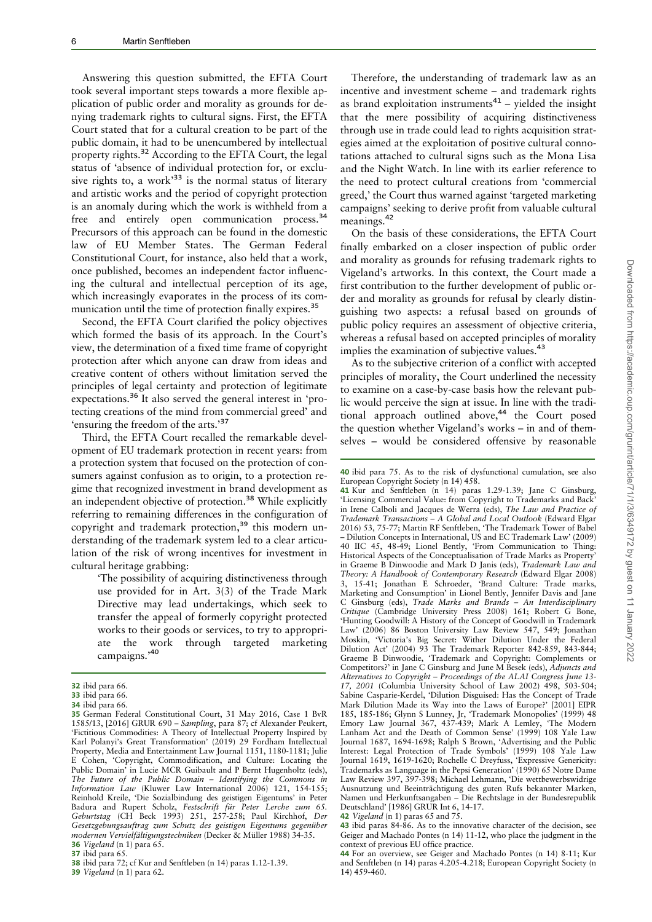Answering this question submitted, the EFTA Court took several important steps towards a more flexible application of public order and morality as grounds for denying trademark rights to cultural signs. First, the EFTA Court stated that for a cultural creation to be part of the public domain, it had to be unencumbered by intellectual property rights.<sup>32</sup> According to the EFTA Court, the legal status of 'absence of individual protection for, or exclusive rights to, a work $^{33}$  is the normal status of literary and artistic works and the period of copyright protection is an anomaly during which the work is withheld from a free and entirely open communication process.<sup>34</sup> Precursors of this approach can be found in the domestic law of EU Member States. The German Federal Constitutional Court, for instance, also held that a work, once published, becomes an independent factor influencing the cultural and intellectual perception of its age, which increasingly evaporates in the process of its communication until the time of protection finally expires.<sup>35</sup>

Second, the EFTA Court clarified the policy objectives which formed the basis of its approach. In the Court's view, the determination of a fixed time frame of copyright protection after which anyone can draw from ideas and creative content of others without limitation served the principles of legal certainty and protection of legitimate expectations.<sup>36</sup> It also served the general interest in 'protecting creations of the mind from commercial greed' and 'ensuring the freedom of the arts.'<sup>37</sup>

Third, the EFTA Court recalled the remarkable development of EU trademark protection in recent years: from a protection system that focused on the protection of consumers against confusion as to origin, to a protection regime that recognized investment in brand development as an independent objective of protection.<sup>38</sup> While explicitly referring to remaining differences in the configuration of copyright and trademark protection,<sup>39</sup> this modern understanding of the trademark system led to a clear articulation of the risk of wrong incentives for investment in cultural heritage grabbing:

> 'The possibility of acquiring distinctiveness through use provided for in Art. 3(3) of the Trade Mark Directive may lead undertakings, which seek to transfer the appeal of formerly copyright protected works to their goods or services, to try to appropriate the work through targeted marketing campaigns.'<sup>40</sup>

39 Vigeland (n 1) para 62.

Therefore, the understanding of trademark law as an incentive and investment scheme – and trademark rights as brand exploitation instruments<sup>41</sup> – yielded the insight that the mere possibility of acquiring distinctiveness through use in trade could lead to rights acquisition strategies aimed at the exploitation of positive cultural connotations attached to cultural signs such as the Mona Lisa and the Night Watch. In line with its earlier reference to the need to protect cultural creations from 'commercial greed,' the Court thus warned against 'targeted marketing campaigns' seeking to derive profit from valuable cultural meanings.<sup>42</sup>

On the basis of these considerations, the EFTA Court finally embarked on a closer inspection of public order and morality as grounds for refusing trademark rights to Vigeland's artworks. In this context, the Court made a first contribution to the further development of public order and morality as grounds for refusal by clearly distinguishing two aspects: a refusal based on grounds of public policy requires an assessment of objective criteria, whereas a refusal based on accepted principles of morality implies the examination of subjective values.<sup>43</sup>

As to the subjective criterion of a conflict with accepted principles of morality, the Court underlined the necessity to examine on a case-by-case basis how the relevant public would perceive the sign at issue. In line with the traditional approach outlined above,<sup>44</sup> the Court posed the question whether Vigeland's works – in and of themselves – would be considered offensive by reasonable

40 ibid para 75. As to the risk of dysfunctional cumulation, see also European Copyright Society (n 14) 458.

41 Kur and Senftleben (n 14) paras 1.29-1.39; Jane C Ginsburg, 'Licensing Commercial Value: from Copyright to Trademarks and Back' in Irene Calboli and Jacques de Werra (eds), The Law and Practice of Trademark Transactions – A Global and Local Outlook (Edward Elgar 2016) 53, 75-77; Martin RF Senftleben, 'The Trademark Tower of Babel – Dilution Concepts in International, US and EC Trademark Law' (2009) 40 IIC 45, 48-49; Lionel Bently, 'From Communication to Thing: Historical Aspects of the Conceptualisation of Trade Marks as Property' in Graeme B Dinwoodie and Mark D Janis (eds), Trademark Law and Theory: A Handbook of Contemporary Research (Edward Elgar 2008) 3, 15-41; Jonathan E Schroeder, 'Brand Culture: Trade marks, Marketing and Consumption' in Lionel Bently, Jennifer Davis and Jane C Ginsburg (eds), Trade Marks and Brands – An Interdisciplinary Critique (Cambridge University Press 2008) 161; Robert G Bone, 'Hunting Goodwill: A History of the Concept of Goodwill in Trademark Law' (2006) 86 Boston University Law Review 547, 549; Jonathan Moskin, 'Victoria's Big Secret: Wither Dilution Under the Federal Dilution Act' (2004) 93 The Trademark Reporter 842-859, 843-844; Graeme B Dinwoodie, 'Trademark and Copyright: Complements or Competitors?' in Jane C Ginsburg and June M Besek (eds), Adjuncts and Alternatives to Copyright – Proceedings of the ALAI Congress June 13- 17, 2001 (Columbia University School of Law 2002) 498, 503-504; Sabine Casparie-Kerdel, 'Dilution Disguised: Has the Concept of Trade Mark Dilution Made its Way into the Laws of Europe?' [2001] EIPR 185, 185-186; Glynn S Lunney, Jr, 'Trademark Monopolies' (1999) 48 Emory Law Journal 367, 437-439; Mark A Lemley, 'The Modern Lanham Act and the Death of Common Sense' (1999) 108 Yale Law Journal 1687, 1694-1698; Ralph S Brown, 'Advertising and the Public Interest: Legal Protection of Trade Symbols' (1999) 108 Yale Law Journal 1619, 1619-1620; Rochelle C Dreyfuss, 'Expressive Genericity: Trademarks as Language in the Pepsi Generation' (1990) 65 Notre Dame Law Review 397, 397-398; Michael Lehmann, 'Die wettbewerbswidrige Ausnutzung und Beeinträchtigung des guten Rufs bekannter Marken, Namen und Herkunftsangaben – Die Rechtslage in der Bundesrepublik Deutschland' [1986] GRUR Int 6, 14-17.

43 ibid paras 84-86. As to the innovative character of the decision, see Geiger and Machado Pontes (n 14) 11-12, who place the judgment in the context of previous EU office practice.

<sup>32</sup> ibid para 66.

<sup>33</sup> ibid para 66.

<sup>34</sup> ibid para 66.

<sup>35</sup> German Federal Constitutional Court, 31 May 2016, Case 1 BvR 1585/13, [2016] GRUR 690 – Sampling, para 87; cf Alexander Peukert, 'Fictitious Commodities: A Theory of Intellectual Property Inspired by Karl Polanyi's Great Transformation' (2019) 29 Fordham Intellectual Property, Media and Entertainment Law Journal 1151, 1180-1181; Julie E Cohen, 'Copyright, Commodification, and Culture: Locating the Public Domain' in Lucie MCR Guibault and P Bernt Hugenholtz (eds), The Future of the Public Domain – Identifying the Commons in Information Law (Kluwer Law International 2006) 121, 154-155; Reinhold Kreile, 'Die Sozialbindung des geistigen Eigentums' in Peter Badura and Rupert Scholz, Festschrift für Peter Lerche zum 65. Geburtstag (CH Beck 1993) 251, 257-258; Paul Kirchhof, Der Gesetzgebungsauftrag zum Schutz des geistigen Eigentums gegenüber modernen Vervielfältigungstechniken (Decker & Müller 1988) 34-35. 36 Vigeland (n 1) para 65.

<sup>37</sup> ibid para 65.

<sup>38</sup> ibid para 72; cf Kur and Senftleben (n 14) paras 1.12-1.39.

<sup>42</sup> Vigeland (n 1) paras 65 and 75.

<sup>44</sup> For an overview, see Geiger and Machado Pontes (n 14) 8-11; Kur and Senftleben (n 14) paras 4.205-4.218; European Copyright Society (n 14) 459-460.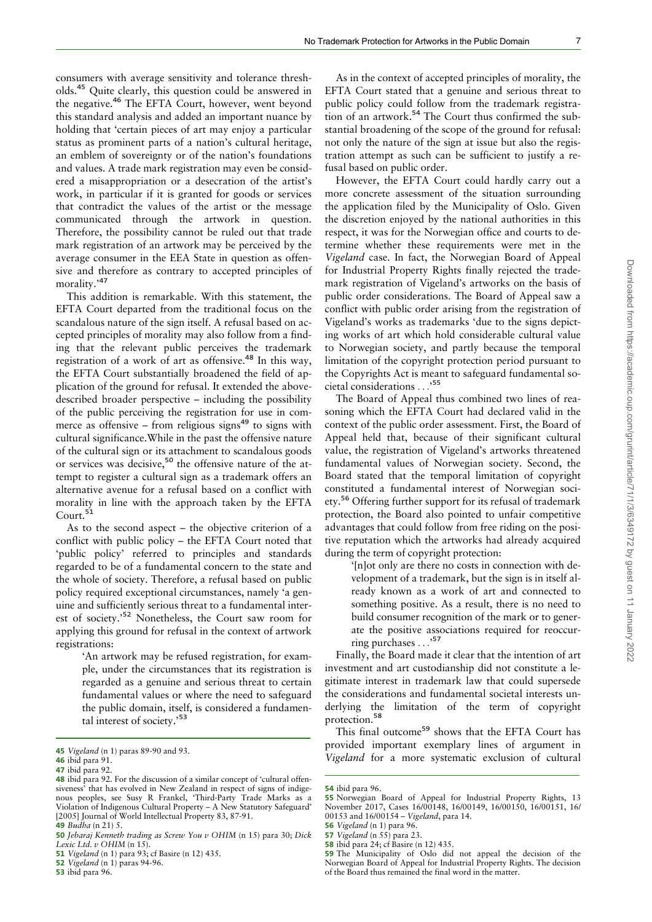consumers with average sensitivity and tolerance thresholds.<sup>45</sup> Quite clearly, this question could be answered in the negative.<sup>46</sup> The EFTA Court, however, went beyond this standard analysis and added an important nuance by holding that 'certain pieces of art may enjoy a particular status as prominent parts of a nation's cultural heritage, an emblem of sovereignty or of the nation's foundations and values. A trade mark registration may even be considered a misappropriation or a desecration of the artist's work, in particular if it is granted for goods or services that contradict the values of the artist or the message communicated through the artwork in question. Therefore, the possibility cannot be ruled out that trade mark registration of an artwork may be perceived by the average consumer in the EEA State in question as offensive and therefore as contrary to accepted principles of morality.'<sup>47</sup>

This addition is remarkable. With this statement, the EFTA Court departed from the traditional focus on the scandalous nature of the sign itself. A refusal based on accepted principles of morality may also follow from a finding that the relevant public perceives the trademark registration of a work of art as offensive.<sup>48</sup> In this way, the EFTA Court substantially broadened the field of application of the ground for refusal. It extended the abovedescribed broader perspective – including the possibility of the public perceiving the registration for use in commerce as offensive – from religious signs<sup>49</sup> to signs with cultural significance.While in the past the offensive nature of the cultural sign or its attachment to scandalous goods or services was decisive,<sup>50</sup> the offensive nature of the attempt to register a cultural sign as a trademark offers an alternative avenue for a refusal based on a conflict with morality in line with the approach taken by the EFTA Court.<sup>51</sup>

As to the second aspect – the objective criterion of a conflict with public policy – the EFTA Court noted that 'public policy' referred to principles and standards regarded to be of a fundamental concern to the state and the whole of society. Therefore, a refusal based on public policy required exceptional circumstances, namely 'a genuine and sufficiently serious threat to a fundamental interest of society.'<sup>52</sup> Nonetheless, the Court saw room for applying this ground for refusal in the context of artwork registrations:

> 'An artwork may be refused registration, for example, under the circumstances that its registration is regarded as a genuine and serious threat to certain fundamental values or where the need to safeguard the public domain, itself, is considered a fundamental interest of society.'<sup>53</sup>

As in the context of accepted principles of morality, the EFTA Court stated that a genuine and serious threat to public policy could follow from the trademark registration of an artwork.<sup>54</sup> The Court thus confirmed the substantial broadening of the scope of the ground for refusal: not only the nature of the sign at issue but also the registration attempt as such can be sufficient to justify a refusal based on public order.

However, the EFTA Court could hardly carry out a more concrete assessment of the situation surrounding the application filed by the Municipality of Oslo. Given the discretion enjoyed by the national authorities in this respect, it was for the Norwegian office and courts to determine whether these requirements were met in the Vigeland case. In fact, the Norwegian Board of Appeal for Industrial Property Rights finally rejected the trademark registration of Vigeland's artworks on the basis of public order considerations. The Board of Appeal saw a conflict with public order arising from the registration of Vigeland's works as trademarks 'due to the signs depicting works of art which hold considerable cultural value to Norwegian society, and partly because the temporal limitation of the copyright protection period pursuant to the Copyrights Act is meant to safeguard fundamental societal considerations ...' 55

The Board of Appeal thus combined two lines of reasoning which the EFTA Court had declared valid in the context of the public order assessment. First, the Board of Appeal held that, because of their significant cultural value, the registration of Vigeland's artworks threatened fundamental values of Norwegian society. Second, the Board stated that the temporal limitation of copyright constituted a fundamental interest of Norwegian society.<sup>56</sup> Offering further support for its refusal of trademark protection, the Board also pointed to unfair competitive advantages that could follow from free riding on the positive reputation which the artworks had already acquired during the term of copyright protection:

> '[n]ot only are there no costs in connection with development of a trademark, but the sign is in itself already known as a work of art and connected to something positive. As a result, there is no need to build consumer recognition of the mark or to generate the positive associations required for reoccurring purchases ...' 57

Finally, the Board made it clear that the intention of art investment and art custodianship did not constitute a legitimate interest in trademark law that could supersede the considerations and fundamental societal interests underlying the limitation of the term of copyright protection.<sup>58</sup>

This final outcome<sup>59</sup> shows that the EFTA Court has provided important exemplary lines of argument in 45 Vigeland (n 1) paras 89-90 and 93.<br>
Wigeland for a more systematic exclusion of cultural 46 ibid para 91

<sup>46</sup> ibid para 91.

<sup>47</sup> ibid para 92.

<sup>48</sup> ibid para 92. For the discussion of a similar concept of 'cultural offensiveness' that has evolved in New Zealand in respect of signs of indigenous peoples, see Susy R Frankel, 'Third-Party Trade Marks as a Violation of Indigenous Cultural Property – A New Statutory Safeguard' [2005] Journal of World Intellectual Property 83, 87-91. 49 Budha (n 21) 5.

<sup>50</sup> Jebaraj Kenneth trading as Screw You v OHIM (n 15) para 30; Dick Lexic Ltd.  $v$  OHIM (n 15).

<sup>51</sup> Vigeland (n 1) para 93; cf Basire (n 12) 435.

<sup>52</sup> Vigeland (n 1) paras 94-96.

<sup>53</sup> ibid para 96.

<sup>54</sup> ibid para 96.

<sup>55</sup> Norwegian Board of Appeal for Industrial Property Rights, 13 November 2017, Cases 16/00148, 16/00149, 16/00150, 16/00151, 16/ 00153 and 16/00154 – Vigeland, para 14.

<sup>56</sup> Vigeland (n 1) para 96.

<sup>57</sup> Vigeland (n 55) para 23.

<sup>58</sup> ibid para 24; cf Basire (n 12) 435.

<sup>59</sup> The Municipality of Oslo did not appeal the decision of the Norwegian Board of Appeal for Industrial Property Rights. The decision of the Board thus remained the final word in the matter.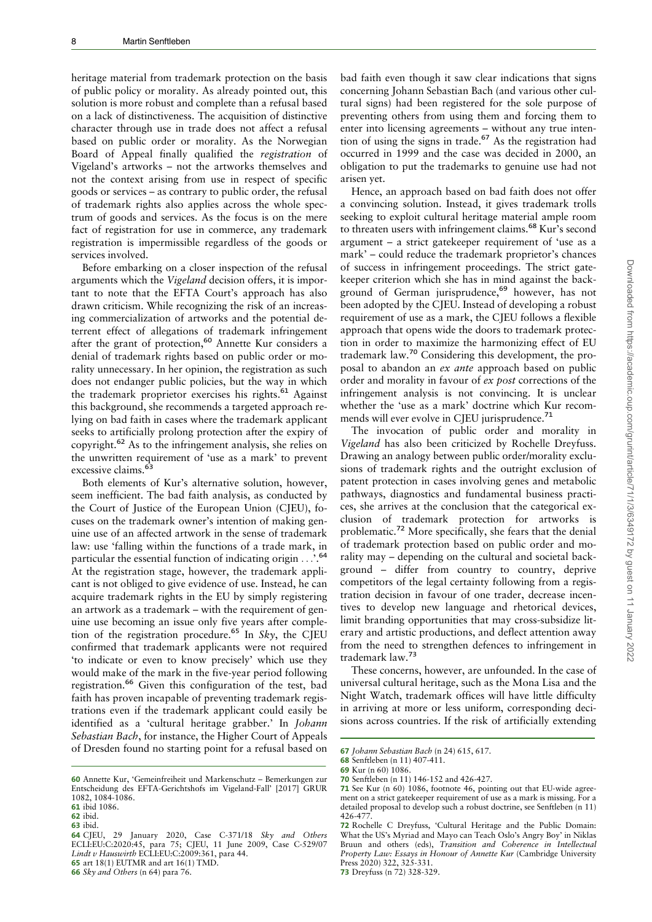heritage material from trademark protection on the basis of public policy or morality. As already pointed out, this solution is more robust and complete than a refusal based on a lack of distinctiveness. The acquisition of distinctive character through use in trade does not affect a refusal based on public order or morality. As the Norwegian Board of Appeal finally qualified the registration of Vigeland's artworks – not the artworks themselves and not the context arising from use in respect of specific goods or services – as contrary to public order, the refusal of trademark rights also applies across the whole spectrum of goods and services. As the focus is on the mere fact of registration for use in commerce, any trademark registration is impermissible regardless of the goods or services involved.

Before embarking on a closer inspection of the refusal arguments which the Vigeland decision offers, it is important to note that the EFTA Court's approach has also drawn criticism. While recognizing the risk of an increasing commercialization of artworks and the potential deterrent effect of allegations of trademark infringement after the grant of protection,<sup>60</sup> Annette Kur considers a denial of trademark rights based on public order or morality unnecessary. In her opinion, the registration as such does not endanger public policies, but the way in which the trademark proprietor exercises his rights.<sup>61</sup> Against this background, she recommends a targeted approach relying on bad faith in cases where the trademark applicant seeks to artificially prolong protection after the expiry of copyright.<sup>62</sup> As to the infringement analysis, she relies on the unwritten requirement of 'use as a mark' to prevent excessive claims.<sup>6</sup>

Both elements of Kur's alternative solution, however, seem inefficient. The bad faith analysis, as conducted by the Court of Justice of the European Union (CJEU), focuses on the trademark owner's intention of making genuine use of an affected artwork in the sense of trademark law: use 'falling within the functions of a trade mark, in particular the essential function of indicating origin ...'.<sup>64</sup> At the registration stage, however, the trademark applicant is not obliged to give evidence of use. Instead, he can acquire trademark rights in the EU by simply registering an artwork as a trademark – with the requirement of genuine use becoming an issue only five years after completion of the registration procedure.<sup>65</sup> In Sky, the CJEU confirmed that trademark applicants were not required 'to indicate or even to know precisely' which use they would make of the mark in the five-year period following registration.<sup>66</sup> Given this configuration of the test, bad faith has proven incapable of preventing trademark registrations even if the trademark applicant could easily be identified as a 'cultural heritage grabber.' In Johann Sebastian Bach, for instance, the Higher Court of Appeals of Dresden found no starting point for a refusal based on

bad faith even though it saw clear indications that signs concerning Johann Sebastian Bach (and various other cultural signs) had been registered for the sole purpose of preventing others from using them and forcing them to enter into licensing agreements – without any true intention of using the signs in trade.<sup>67</sup> As the registration had occurred in 1999 and the case was decided in 2000, an obligation to put the trademarks to genuine use had not arisen yet.

Hence, an approach based on bad faith does not offer a convincing solution. Instead, it gives trademark trolls seeking to exploit cultural heritage material ample room to threaten users with infringement claims.<sup>68</sup> Kur's second argument – a strict gatekeeper requirement of 'use as a mark' – could reduce the trademark proprietor's chances of success in infringement proceedings. The strict gatekeeper criterion which she has in mind against the background of German jurisprudence,<sup>69</sup> however, has not been adopted by the CJEU. Instead of developing a robust requirement of use as a mark, the CJEU follows a flexible approach that opens wide the doors to trademark protection in order to maximize the harmonizing effect of EU trademark law.<sup>70</sup> Considering this development, the proposal to abandon an ex ante approach based on public order and morality in favour of ex post corrections of the infringement analysis is not convincing. It is unclear whether the 'use as a mark' doctrine which Kur recommends will ever evolve in CJEU jurisprudence.<sup>71</sup>

The invocation of public order and morality in Vigeland has also been criticized by Rochelle Dreyfuss. Drawing an analogy between public order/morality exclusions of trademark rights and the outright exclusion of patent protection in cases involving genes and metabolic pathways, diagnostics and fundamental business practices, she arrives at the conclusion that the categorical exclusion of trademark protection for artworks is problematic.<sup>72</sup> More specifically, she fears that the denial of trademark protection based on public order and morality may – depending on the cultural and societal background – differ from country to country, deprive competitors of the legal certainty following from a registration decision in favour of one trader, decrease incentives to develop new language and rhetorical devices, limit branding opportunities that may cross-subsidize literary and artistic productions, and deflect attention away from the need to strengthen defences to infringement in trademark law.<sup>73</sup>

These concerns, however, are unfounded. In the case of universal cultural heritage, such as the Mona Lisa and the Night Watch, trademark offices will have little difficulty in arriving at more or less uniform, corresponding decisions across countries. If the risk of artificially extending

73 Dreyfuss (n 72) 328-329.

<sup>60</sup> Annette Kur, 'Gemeinfreiheit und Markenschutz – Bemerkungen zur Entscheidung des EFTA-Gerichtshofs im Vigeland-Fall' [2017] GRUR 1082, 1084-1086.

<sup>61</sup> ibid 1086.

<sup>62</sup> ibid.

<sup>63</sup> ibid.

<sup>64</sup> CJEU, 29 January 2020, Case C-371/18 Sky and Others ECLI:EU:C:2020:45, para 75; CJEU, 11 June 2009, Case C-529/07 Lindt v Hauswirth ECLI:EU:C:2009:361, para 44.

<sup>65</sup> art 18(1) EUTMR and art 16(1) TMD.

<sup>66</sup> Sky and Others (n 64) para 76.

<sup>67</sup> Johann Sebastian Bach (n 24) 615, 617.

<sup>68</sup> Senftleben (n 11) 407-411.

<sup>69</sup> Kur (n 60) 1086.

<sup>70</sup> Senftleben (n 11) 146-152 and 426-427.

<sup>71</sup> See Kur (n 60) 1086, footnote 46, pointing out that EU-wide agreement on a strict gatekeeper requirement of use as a mark is missing. For a detailed proposal to develop such a robust doctrine, see Senftleben (n 11) 426-47

<sup>72</sup> Rochelle C Dreyfuss, 'Cultural Heritage and the Public Domain: What the US's Myriad and Mayo can Teach Oslo's Angry Boy' in Niklas Bruun and others (eds), Transition and Coherence in Intellectual Property Law: Essays in Honour of Annette Kur (Cambridge University Press 2020) 322, 325-331.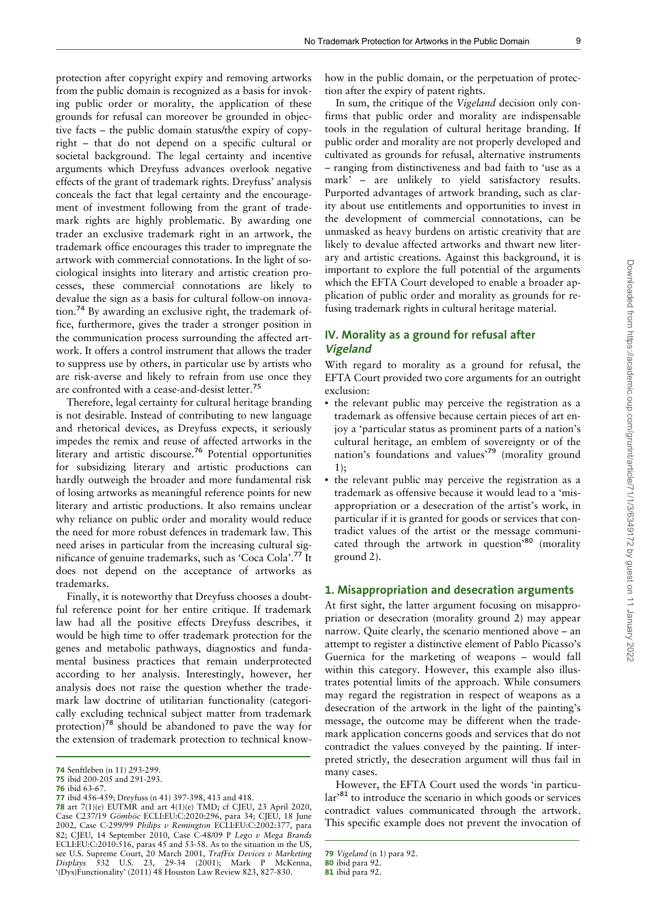protection after copyright expiry and removing artworks from the public domain is recognized as a basis for invoking public order or morality, the application of these grounds for refusal can moreover be grounded in objective facts – the public domain status/the expiry of copyright – that do not depend on a specific cultural or societal background. The legal certainty and incentive arguments which Dreyfuss advances overlook negative effects of the grant of trademark rights. Dreyfuss' analysis conceals the fact that legal certainty and the encouragement of investment following from the grant of trademark rights are highly problematic. By awarding one trader an exclusive trademark right in an artwork, the trademark office encourages this trader to impregnate the artwork with commercial connotations. In the light of sociological insights into literary and artistic creation processes, these commercial connotations are likely to devalue the sign as a basis for cultural follow-on innovation.<sup>74</sup> By awarding an exclusive right, the trademark office, furthermore, gives the trader a stronger position in the communication process surrounding the affected artwork. It offers a control instrument that allows the trader to suppress use by others, in particular use by artists who are risk-averse and likely to refrain from use once they are confronted with a cease-and-desist letter.<sup>75</sup>

Therefore, legal certainty for cultural heritage branding is not desirable. Instead of contributing to new language and rhetorical devices, as Dreyfuss expects, it seriously impedes the remix and reuse of affected artworks in the literary and artistic discourse.<sup>76</sup> Potential opportunities for subsidizing literary and artistic productions can hardly outweigh the broader and more fundamental risk of losing artworks as meaningful reference points for new literary and artistic productions. It also remains unclear why reliance on public order and morality would reduce the need for more robust defences in trademark law. This need arises in particular from the increasing cultural significance of genuine trademarks, such as 'Coca Cola'.<sup>77</sup> It does not depend on the acceptance of artworks as trademarks.

Finally, it is noteworthy that Dreyfuss chooses a doubtful reference point for her entire critique. If trademark law had all the positive effects Dreyfuss describes, it would be high time to offer trademark protection for the genes and metabolic pathways, diagnostics and fundamental business practices that remain underprotected according to her analysis. Interestingly, however, her analysis does not raise the question whether the trademark law doctrine of utilitarian functionality (categorically excluding technical subject matter from trademark protection)<sup>78</sup> should be abandoned to pave the way for the extension of trademark protection to technical knowhow in the public domain, or the perpetuation of protection after the expiry of patent rights.

In sum, the critique of the Vigeland decision only confirms that public order and morality are indispensable tools in the regulation of cultural heritage branding. If public order and morality are not properly developed and cultivated as grounds for refusal, alternative instruments – ranging from distinctiveness and bad faith to 'use as a mark' – are unlikely to yield satisfactory results. Purported advantages of artwork branding, such as clarity about use entitlements and opportunities to invest in the development of commercial connotations, can be unmasked as heavy burdens on artistic creativity that are likely to devalue affected artworks and thwart new literary and artistic creations. Against this background, it is important to explore the full potential of the arguments which the EFTA Court developed to enable a broader application of public order and morality as grounds for refusing trademark rights in cultural heritage material.

## IV. Morality as a ground for refusal after Vigeland

With regard to morality as a ground for refusal, the EFTA Court provided two core arguments for an outright exclusion:

- the relevant public may perceive the registration as a trademark as offensive because certain pieces of art enjoy a 'particular status as prominent parts of a nation's cultural heritage, an emblem of sovereignty or of the nation's foundations and values'<sup>79</sup> (morality ground 1);
- the relevant public may perceive the registration as a trademark as offensive because it would lead to a 'misappropriation or a desecration of the artist's work, in particular if it is granted for goods or services that contradict values of the artist or the message communicated through the artwork in question<sup>580</sup> (morality ground 2).

#### 1. Misappropriation and desecration arguments

At first sight, the latter argument focusing on misappropriation or desecration (morality ground 2) may appear narrow. Quite clearly, the scenario mentioned above – an attempt to register a distinctive element of Pablo Picasso's Guernica for the marketing of weapons – would fall within this category. However, this example also illustrates potential limits of the approach. While consumers may regard the registration in respect of weapons as a desecration of the artwork in the light of the painting's message, the outcome may be different when the trademark application concerns goods and services that do not contradict the values conveyed by the painting. If interpreted strictly, the desecration argument will thus fail in many cases.

However, the EFTA Court used the words 'in particular'<sup>81</sup> to introduce the scenario in which goods or services contradict values communicated through the artwork. This specific example does not prevent the invocation of

<sup>74</sup> Senftleben (n 11) 293-299.

<sup>75</sup> ibid 200-205 and 291-293. 76 ibid 63-67.

<sup>77</sup> ibid 456-459; Dreyfuss (n 41) 397-398, 413 and 418.

<sup>78</sup> art 7(1)(e) EUTMR and art 4(1)(e) TMD; cf CJEU, 23 April 2020, Case C237/19 Gömböc ECLI:EU:C:2020:296, para 34; CJEU, 18 June 2002, Case C-299/99 Philips v Remington ECLI:EU:C:2002:377, para 82; CJEU, 14 September 2010, Case C-48/09 P Lego v Mega Brands ECLI:EU:C:2010:516, paras 45 and 53-58. As to the situation in the US, see U.S. Supreme Court, 20 March 2001, TrafFix Devices v Marketing Displays 532 U.S. 23, 29-34 (2001); Mark P McKenna, '(Dys)Functionality' (2011) 48 Houston Law Review 823, 827-830.

<sup>79</sup> Vigeland (n 1) para 92.

<sup>80</sup> ibid para 92.

<sup>81</sup> ibid para 92.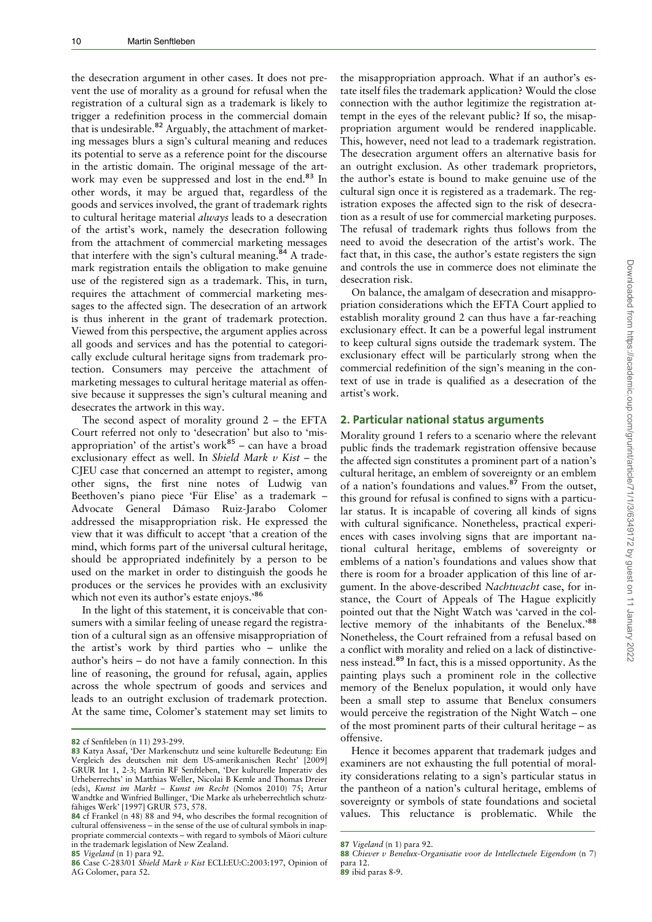the desecration argument in other cases. It does not prevent the use of morality as a ground for refusal when the registration of a cultural sign as a trademark is likely to trigger a redefinition process in the commercial domain  $\frac{1}{100}$  are a resolution process in the commercial domain<br>that is undesirable.<sup>82</sup> Arguably, the attachment of marketing messages blurs a sign's cultural meaning and reduces its potential to serve as a reference point for the discourse in the artistic domain. The original message of the artwork may even be suppressed and lost in the end.<sup>83</sup> In other words, it may be argued that, regardless of the goods and services involved, the grant of trademark rights to cultural heritage material always leads to a desecration of the artist's work, namely the desecration following from the attachment of commercial marketing messages that interfere with the sign's cultural meaning.<sup>84</sup> A trademark registration entails the obligation to make genuine use of the registered sign as a trademark. This, in turn, requires the attachment of commercial marketing messages to the affected sign. The desecration of an artwork is thus inherent in the grant of trademark protection. Viewed from this perspective, the argument applies across all goods and services and has the potential to categorically exclude cultural heritage signs from trademark protection. Consumers may perceive the attachment of marketing messages to cultural heritage material as offensive because it suppresses the sign's cultural meaning and desecrates the artwork in this way.

The second aspect of morality ground 2 – the EFTA Court referred not only to 'desecration' but also to 'misappropriation' of the artist's work<sup>85</sup> – can have a broad exclusionary effect as well. In Shield Mark  $v$  Kist – the CJEU case that concerned an attempt to register, among other signs, the first nine notes of Ludwig van Beethoven's piano piece 'Für Elise' as a trademark -Advocate General Dámaso Ruiz-Jarabo Colomer addressed the misappropriation risk. He expressed the view that it was difficult to accept 'that a creation of the mind, which forms part of the universal cultural heritage, should be appropriated indefinitely by a person to be used on the market in order to distinguish the goods he produces or the services he provides with an exclusivity which not even its author's estate enjoys.'86

In the light of this statement, it is conceivable that consumers with a similar feeling of unease regard the registration of a cultural sign as an offensive misappropriation of the artist's work by third parties who – unlike the author's heirs – do not have a family connection. In this line of reasoning, the ground for refusal, again, applies across the whole spectrum of goods and services and leads to an outright exclusion of trademark protection. At the same time, Colomer's statement may set limits to

85 Vigeland (n 1) para 92.

the misappropriation approach. What if an author's estate itself files the trademark application? Would the close connection with the author legitimize the registration attempt in the eyes of the relevant public? If so, the misappropriation argument would be rendered inapplicable. This, however, need not lead to a trademark registration. The desecration argument offers an alternative basis for an outright exclusion. As other trademark proprietors, the author's estate is bound to make genuine use of the cultural sign once it is registered as a trademark. The registration exposes the affected sign to the risk of desecration as a result of use for commercial marketing purposes. The refusal of trademark rights thus follows from the need to avoid the desecration of the artist's work. The fact that, in this case, the author's estate registers the sign and controls the use in commerce does not eliminate the desecration risk.

On balance, the amalgam of desecration and misappropriation considerations which the EFTA Court applied to establish morality ground 2 can thus have a far-reaching exclusionary effect. It can be a powerful legal instrument to keep cultural signs outside the trademark system. The exclusionary effect will be particularly strong when the commercial redefinition of the sign's meaning in the context of use in trade is qualified as a desecration of the artist's work.

#### 2. Particular national status arguments

Morality ground 1 refers to a scenario where the relevant public finds the trademark registration offensive because the affected sign constitutes a prominent part of a nation's cultural heritage, an emblem of sovereignty or an emblem of a nation's foundations and values.<sup>87</sup> From the outset, this ground for refusal is confined to signs with a particular status. It is incapable of covering all kinds of signs with cultural significance. Nonetheless, practical experiences with cases involving signs that are important national cultural heritage, emblems of sovereignty or emblems of a nation's foundations and values show that there is room for a broader application of this line of argument. In the above-described Nachtwacht case, for instance, the Court of Appeals of The Hague explicitly pointed out that the Night Watch was 'carved in the collective memory of the inhabitants of the Benelux.'<sup>88</sup> Nonetheless, the Court refrained from a refusal based on a conflict with morality and relied on a lack of distinctiveness instead.<sup>89</sup> In fact, this is a missed opportunity. As the painting plays such a prominent role in the collective memory of the Benelux population, it would only have been a small step to assume that Benelux consumers would perceive the registration of the Night Watch – one of the most prominent parts of their cultural heritage – as offensive.

Hence it becomes apparent that trademark judges and examiners are not exhausting the full potential of morality considerations relating to a sign's particular status in the pantheon of a nation's cultural heritage, emblems of sovereignty or symbols of state foundations and societal values. This reluctance is problematic. While the

<sup>82</sup> cf Senftleben (n 11) 293-299.

<sup>83</sup> Katya Assaf, 'Der Markenschutz und seine kulturelle Bedeutung: Ein Vergleich des deutschen mit dem US-amerikanischen Recht' [2009] GRUR Int 1, 2-3; Martin RF Senftleben, 'Der kulturelle Imperativ des Urheberrechts' in Matthias Weller, Nicolai B Kemle and Thomas Dreier (eds), Kunst im Markt – Kunst im Recht (Nomos 2010) 75; Artur Wandtke and Winfried Bullinger, 'Die Marke als urheberrechtlich schutzfähiges Werk' [1997] GRUR 573, 578.

<sup>84</sup> cf Frankel (n 48) 88 and 94, who describes the formal recognition of cultural offensiveness – in the sense of the use of cultural symbols in inappropriate commercial contexts – with regard to symbols of Māori culture in the trademark legislation of New Zealand.

<sup>86</sup> Case C-283/01 Shield Mark v Kist ECLI:EU:C:2003:197, Opinion of AG Colomer, para 52.

<sup>87</sup> Vigeland (n 1) para 92.

<sup>88</sup> Chiever v Benelux-Organisatie voor de Intellectuele Eigendom (n 7) para 12.

<sup>89</sup> ibid paras 8-9.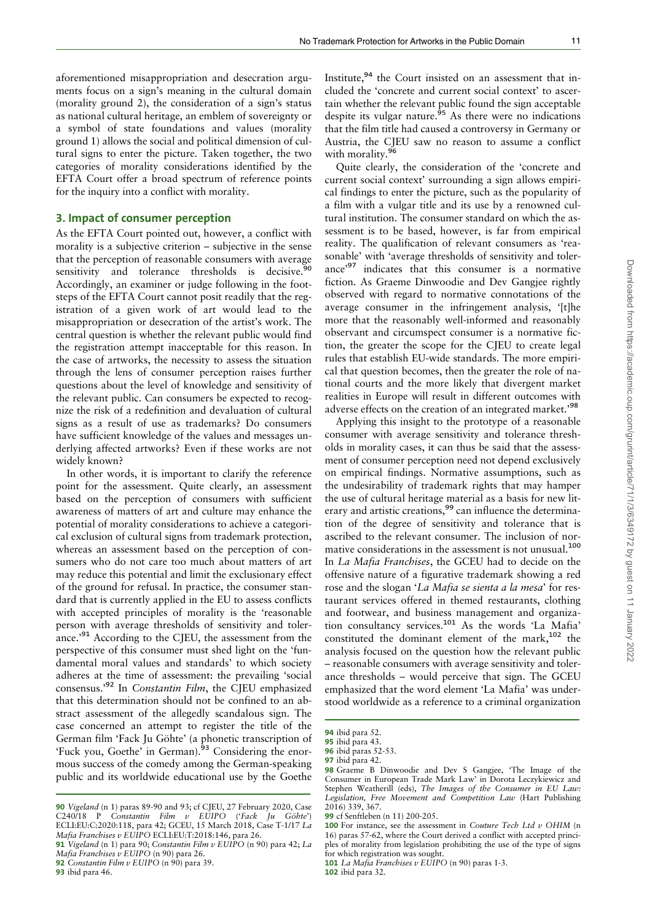aforementioned misappropriation and desecration arguments focus on a sign's meaning in the cultural domain (morality ground 2), the consideration of a sign's status as national cultural heritage, an emblem of sovereignty or a symbol of state foundations and values (morality ground 1) allows the social and political dimension of cultural signs to enter the picture. Taken together, the two categories of morality considerations identified by the EFTA Court offer a broad spectrum of reference points for the inquiry into a conflict with morality.

#### 3. Impact of consumer perception

As the EFTA Court pointed out, however, a conflict with morality is a subjective criterion – subjective in the sense that the perception of reasonable consumers with average sensitivity and tolerance thresholds is decisive.<sup>9</sup> Accordingly, an examiner or judge following in the footsteps of the EFTA Court cannot posit readily that the registration of a given work of art would lead to the misappropriation or desecration of the artist's work. The central question is whether the relevant public would find the registration attempt inacceptable for this reason. In the case of artworks, the necessity to assess the situation through the lens of consumer perception raises further questions about the level of knowledge and sensitivity of the relevant public. Can consumers be expected to recognize the risk of a redefinition and devaluation of cultural signs as a result of use as trademarks? Do consumers have sufficient knowledge of the values and messages underlying affected artworks? Even if these works are not widely known?

In other words, it is important to clarify the reference point for the assessment. Quite clearly, an assessment based on the perception of consumers with sufficient awareness of matters of art and culture may enhance the potential of morality considerations to achieve a categorical exclusion of cultural signs from trademark protection, whereas an assessment based on the perception of consumers who do not care too much about matters of art may reduce this potential and limit the exclusionary effect of the ground for refusal. In practice, the consumer standard that is currently applied in the EU to assess conflicts with accepted principles of morality is the 'reasonable person with average thresholds of sensitivity and tolerance.'<sup>91</sup> According to the CJEU, the assessment from the perspective of this consumer must shed light on the 'fundamental moral values and standards' to which society adheres at the time of assessment: the prevailing 'social consensus.'<sup>92</sup> In Constantin Film, the CJEU emphasized that this determination should not be confined to an abstract assessment of the allegedly scandalous sign. The case concerned an attempt to register the title of the German film 'Fack Ju Göhte' (a phonetic transcription of 'Fuck you, Goethe' in German).<sup>93</sup> Considering the enormous success of the comedy among the German-speaking public and its worldwide educational use by the Goethe

93 ibid para 46.

Institute,<sup>94</sup> the Court insisted on an assessment that included the 'concrete and current social context' to ascertain whether the relevant public found the sign acceptable despite its vulgar nature.<sup>95</sup> As there were no indications that the film title had caused a controversy in Germany or Austria, the CJEU saw no reason to assume a conflict with morality.<sup>96</sup>

Quite clearly, the consideration of the 'concrete and current social context' surrounding a sign allows empirical findings to enter the picture, such as the popularity of a film with a vulgar title and its use by a renowned cultural institution. The consumer standard on which the assessment is to be based, however, is far from empirical reality. The qualification of relevant consumers as 'reasonable' with 'average thresholds of sensitivity and tolerance'<sup>97</sup> indicates that this consumer is a normative fiction. As Graeme Dinwoodie and Dev Gangjee rightly observed with regard to normative connotations of the average consumer in the infringement analysis, 'Itlhe more that the reasonably well-informed and reasonably observant and circumspect consumer is a normative fiction, the greater the scope for the CJEU to create legal rules that establish EU-wide standards. The more empirical that question becomes, then the greater the role of national courts and the more likely that divergent market realities in Europe will result in different outcomes with adverse effects on the creation of an integrated market.'<sup>98</sup>

Applying this insight to the prototype of a reasonable consumer with average sensitivity and tolerance thresholds in morality cases, it can thus be said that the assessment of consumer perception need not depend exclusively on empirical findings. Normative assumptions, such as the undesirability of trademark rights that may hamper the use of cultural heritage material as a basis for new literary and artistic creations,<sup>99</sup> can influence the determination of the degree of sensitivity and tolerance that is ascribed to the relevant consumer. The inclusion of normative considerations in the assessment is not unusual.<sup>100</sup> In La Mafia Franchises, the GCEU had to decide on the offensive nature of a figurative trademark showing a red rose and the slogan 'La Mafia se sienta a la mesa' for restaurant services offered in themed restaurants, clothing and footwear, and business management and organization consultancy services.<sup>101</sup> As the words 'La Mafia' constituted the dominant element of the mark,<sup>102</sup> the analysis focused on the question how the relevant public – reasonable consumers with average sensitivity and tolerance thresholds – would perceive that sign. The GCEU emphasized that the word element 'La Mafia' was understood worldwide as a reference to a criminal organization

102 ibid para 32.

<sup>90</sup> Vigeland (n 1) paras 89-90 and 93; cf CJEU, 27 February 2020, Case  $C240/18$  P Constantin Film v EUIPO ('Fack Ju Göhte') ECLI:EU:C:2020:118, para 42; GCEU, 15 March 2018, Case T-1/17 La Mafia Franchises v EUIPO ECLI:EU:T:2018:146, para 26.

<sup>91</sup> Vigeland (n 1) para 90; Constantin Film v EUIPO (n 90) para 42; La Mafia Franchises v EUIPO (n 90) para 26.

<sup>92</sup> Constantin Film v EUIPO (n  $90$ ) para 39.

<sup>94</sup> ibid para 52.

<sup>95</sup> ibid para 43.

<sup>96</sup> ibid paras 52-53.

<sup>97</sup> ibid para 42.

<sup>98</sup> Graeme B Dinwoodie and Dev S Gangjee, 'The Image of the Consumer in European Trade Mark Law' in Dorota Leczykiewicz and Stephen Weatherill (eds), The Images of the Consumer in EU Law: Legislation, Free Movement and Competition Law (Hart Publishing 2016) 339, 367.

<sup>99</sup> cf Senftleben (n 11) 200-205.

<sup>100</sup> For instance, see the assessment in Couture Tech Ltd  $v$  OHIM (n 16) paras 57-62, where the Court derived a conflict with accepted principles of morality from legislation prohibiting the use of the type of signs for which registration was sought

<sup>101</sup> La Mafia Franchises v EUIPO (n 90) paras 1-3.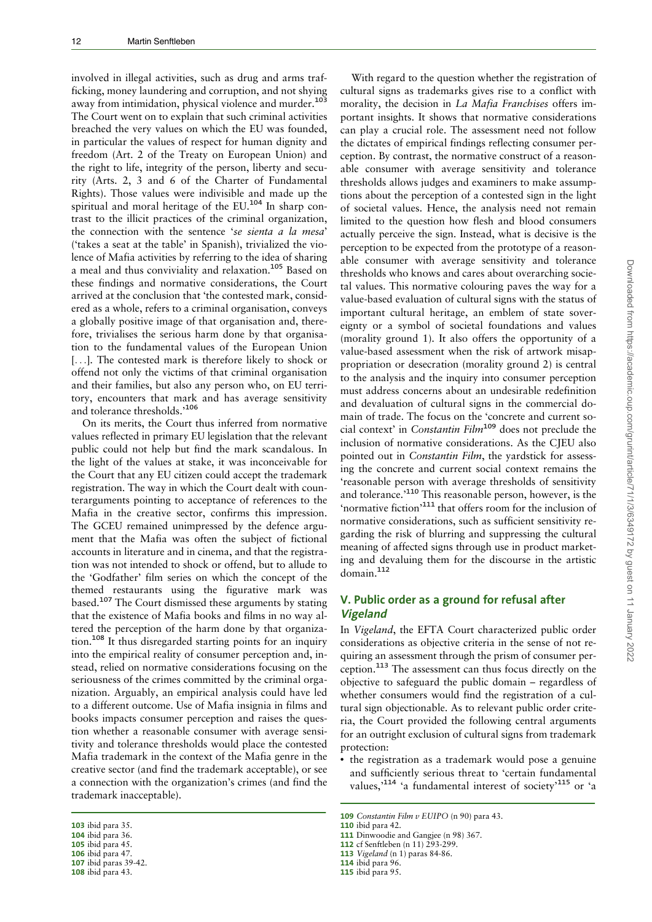involved in illegal activities, such as drug and arms trafficking, money laundering and corruption, and not shying away from intimidation, physical violence and murder.<sup>103</sup> The Court went on to explain that such criminal activities breached the very values on which the EU was founded, in particular the values of respect for human dignity and freedom (Art. 2 of the Treaty on European Union) and the right to life, integrity of the person, liberty and security (Arts. 2, 3 and 6 of the Charter of Fundamental Rights). Those values were indivisible and made up the spiritual and moral heritage of the EU.<sup>104</sup> In sharp contrast to the illicit practices of the criminal organization, the connection with the sentence 'se sienta a la mesa' ('takes a seat at the table' in Spanish), trivialized the violence of Mafia activities by referring to the idea of sharing a meal and thus conviviality and relaxation.<sup>105</sup> Based on these findings and normative considerations, the Court arrived at the conclusion that 'the contested mark, considered as a whole, refers to a criminal organisation, conveys a globally positive image of that organisation and, therefore, trivialises the serious harm done by that organisation to the fundamental values of the European Union [...]. The contested mark is therefore likely to shock or offend not only the victims of that criminal organisation and their families, but also any person who, on EU territory, encounters that mark and has average sensitivity and tolerance thresholds.'<sup>106</sup>

On its merits, the Court thus inferred from normative values reflected in primary EU legislation that the relevant public could not help but find the mark scandalous. In the light of the values at stake, it was inconceivable for the Court that any EU citizen could accept the trademark registration. The way in which the Court dealt with counterarguments pointing to acceptance of references to the Mafia in the creative sector, confirms this impression. The GCEU remained unimpressed by the defence argument that the Mafia was often the subject of fictional accounts in literature and in cinema, and that the registration was not intended to shock or offend, but to allude to the 'Godfather' film series on which the concept of the themed restaurants using the figurative mark was based.<sup>107</sup> The Court dismissed these arguments by stating that the existence of Mafia books and films in no way altered the perception of the harm done by that organization.<sup>108</sup> It thus disregarded starting points for an inquiry into the empirical reality of consumer perception and, instead, relied on normative considerations focusing on the seriousness of the crimes committed by the criminal organization. Arguably, an empirical analysis could have led to a different outcome. Use of Mafia insignia in films and books impacts consumer perception and raises the question whether a reasonable consumer with average sensitivity and tolerance thresholds would place the contested Mafia trademark in the context of the Mafia genre in the creative sector (and find the trademark acceptable), or see a connection with the organization's crimes (and find the trademark inacceptable).

107 ibid paras 39-42.

With regard to the question whether the registration of cultural signs as trademarks gives rise to a conflict with morality, the decision in La Mafia Franchises offers important insights. It shows that normative considerations can play a crucial role. The assessment need not follow the dictates of empirical findings reflecting consumer perception. By contrast, the normative construct of a reasonable consumer with average sensitivity and tolerance thresholds allows judges and examiners to make assumptions about the perception of a contested sign in the light of societal values. Hence, the analysis need not remain limited to the question how flesh and blood consumers actually perceive the sign. Instead, what is decisive is the perception to be expected from the prototype of a reasonable consumer with average sensitivity and tolerance thresholds who knows and cares about overarching societal values. This normative colouring paves the way for a value-based evaluation of cultural signs with the status of important cultural heritage, an emblem of state sovereignty or a symbol of societal foundations and values (morality ground 1). It also offers the opportunity of a value-based assessment when the risk of artwork misappropriation or desecration (morality ground 2) is central to the analysis and the inquiry into consumer perception must address concerns about an undesirable redefinition and devaluation of cultural signs in the commercial domain of trade. The focus on the 'concrete and current social context' in Constantin Film<sup>109</sup> does not preclude the inclusion of normative considerations. As the CJEU also pointed out in Constantin Film, the yardstick for assessing the concrete and current social context remains the 'reasonable person with average thresholds of sensitivity and tolerance.<sup>110</sup> This reasonable person, however, is the 'normative fiction'<sup>111</sup> that offers room for the inclusion of normative considerations, such as sufficient sensitivity regarding the risk of blurring and suppressing the cultural meaning of affected signs through use in product marketing and devaluing them for the discourse in the artistic domain.<sup>112</sup>

## V. Public order as a ground for refusal after Vigeland

In Vigeland, the EFTA Court characterized public order considerations as objective criteria in the sense of not requiring an assessment through the prism of consumer perception.<sup>113</sup> The assessment can thus focus directly on the objective to safeguard the public domain – regardless of whether consumers would find the registration of a cultural sign objectionable. As to relevant public order criteria, the Court provided the following central arguments for an outright exclusion of cultural signs from trademark protection:

• the registration as a trademark would pose a genuine and sufficiently serious threat to 'certain fundamental values,'<sup>114</sup> 'a fundamental interest of society'<sup>115</sup> or 'a

<sup>103</sup> ibid para 35.

<sup>104</sup> ibid para 36.

<sup>105</sup> ibid para 45.

<sup>106</sup> ibid para 47.

<sup>108</sup> ibid para 43.

<sup>109</sup> Constantin Film  $v$  EUIPO (n 90) para 43.

<sup>110</sup> ibid para 42.

<sup>111</sup> Dinwoodie and Gangjee (n 98) 367.

<sup>112</sup> cf Senftleben (n 11) 293-299.

<sup>113</sup> Vigeland (n 1) paras 84-86.

<sup>114</sup> ibid para 96.

<sup>115</sup> ibid para 95.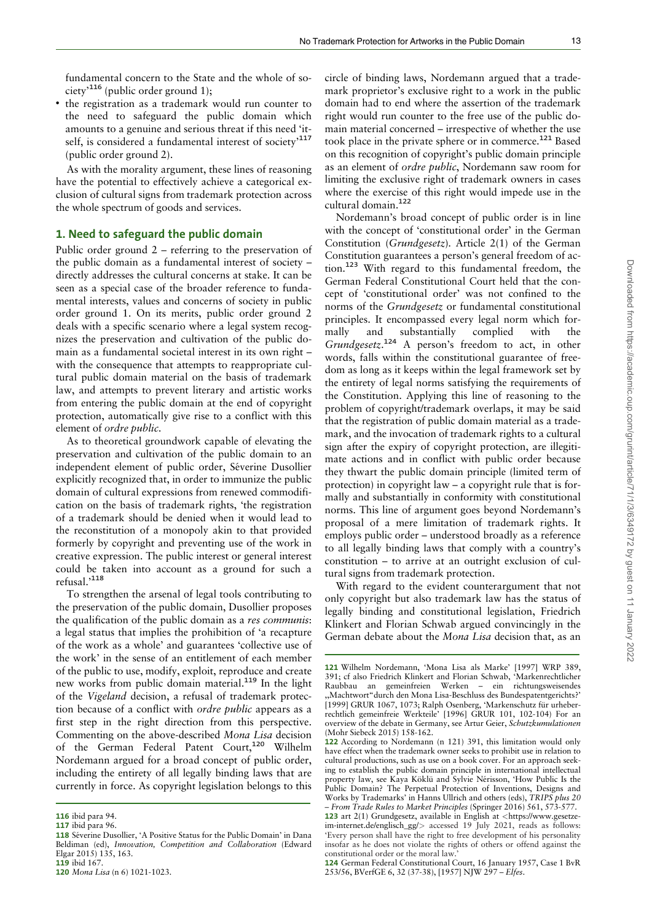fundamental concern to the State and the whole of society<sup> $116$ </sup> (public order ground 1);

• the registration as a trademark would run counter to the need to safeguard the public domain which amounts to a genuine and serious threat if this need 'itself, is considered a fundamental interest of society<sup>-117</sup> (public order ground 2).

As with the morality argument, these lines of reasoning have the potential to effectively achieve a categorical exclusion of cultural signs from trademark protection across the whole spectrum of goods and services.

#### 1. Need to safeguard the public domain

Public order ground 2 – referring to the preservation of the public domain as a fundamental interest of society – directly addresses the cultural concerns at stake. It can be seen as a special case of the broader reference to fundamental interests, values and concerns of society in public order ground 1. On its merits, public order ground 2 deals with a specific scenario where a legal system recognizes the preservation and cultivation of the public domain as a fundamental societal interest in its own right – with the consequence that attempts to reappropriate cultural public domain material on the basis of trademark law, and attempts to prevent literary and artistic works from entering the public domain at the end of copyright protection, automatically give rise to a conflict with this element of ordre public.

As to theoretical groundwork capable of elevating the preservation and cultivation of the public domain to an independent element of public order, Séverine Dusollier explicitly recognized that, in order to immunize the public domain of cultural expressions from renewed commodification on the basis of trademark rights, 'the registration of a trademark should be denied when it would lead to the reconstitution of a monopoly akin to that provided formerly by copyright and preventing use of the work in creative expression. The public interest or general interest could be taken into account as a ground for such a refusal.'<sup>118</sup>

To strengthen the arsenal of legal tools contributing to the preservation of the public domain, Dusollier proposes the qualification of the public domain as a res communis: a legal status that implies the prohibition of 'a recapture of the work as a whole' and guarantees 'collective use of the work' in the sense of an entitlement of each member of the public to use, modify, exploit, reproduce and create new works from public domain material.<sup>119</sup> In the light of the Vigeland decision, a refusal of trademark protection because of a conflict with ordre public appears as a first step in the right direction from this perspective. Commenting on the above-described Mona Lisa decision of the German Federal Patent Court,<sup>120</sup> Wilhelm Nordemann argued for a broad concept of public order, including the entirety of all legally binding laws that are currently in force. As copyright legislation belongs to this

circle of binding laws, Nordemann argued that a trademark proprietor's exclusive right to a work in the public domain had to end where the assertion of the trademark right would run counter to the free use of the public domain material concerned – irrespective of whether the use took place in the private sphere or in commerce.<sup>121</sup> Based on this recognition of copyright's public domain principle as an element of ordre public, Nordemann saw room for limiting the exclusive right of trademark owners in cases where the exercise of this right would impede use in the cultural domain.<sup>122</sup>

Nordemann's broad concept of public order is in line with the concept of 'constitutional order' in the German Constitution (Grundgesetz). Article 2(1) of the German Constitution guarantees a person's general freedom of action.<sup>123</sup> With regard to this fundamental freedom, the German Federal Constitutional Court held that the concept of 'constitutional order' was not confined to the norms of the Grundgesetz or fundamental constitutional principles. It encompassed every legal norm which formally and substantially complied with the Grundgesetz. <sup>124</sup> A person's freedom to act, in other words, falls within the constitutional guarantee of freedom as long as it keeps within the legal framework set by the entirety of legal norms satisfying the requirements of the Constitution. Applying this line of reasoning to the problem of copyright/trademark overlaps, it may be said that the registration of public domain material as a trademark, and the invocation of trademark rights to a cultural sign after the expiry of copyright protection, are illegitimate actions and in conflict with public order because they thwart the public domain principle (limited term of protection) in copyright law – a copyright rule that is formally and substantially in conformity with constitutional norms. This line of argument goes beyond Nordemann's proposal of a mere limitation of trademark rights. It employs public order – understood broadly as a reference to all legally binding laws that comply with a country's constitution – to arrive at an outright exclusion of cultural signs from trademark protection.

With regard to the evident counterargument that not only copyright but also trademark law has the status of legally binding and constitutional legislation, Friedrich Klinkert and Florian Schwab argued convincingly in the German debate about the Mona Lisa decision that, as an

<sup>116</sup> ibid para 94.

<sup>117</sup> ibid para 96.

<sup>118</sup> Séverine Dusollier, 'A Positive Status for the Public Domain' in Dana Beldiman (ed), Innovation, Competition and Collaboration (Edward Elgar 2015) 135, 163. 119 ibid 167.

<sup>120</sup> Mona Lisa (n 6) 1021-1023.

<sup>121</sup> Wilhelm Nordemann, 'Mona Lisa als Marke' [1997] WRP 389, 391; cf also Friedrich Klinkert and Florian Schwab, 'Markenrechtlicher Raubbau an gemeinfreien Werken – ein richtungsweisendes ,,Machtwort"durch den Mona Lisa-Beschluss des Bundespatentgerichts?' [1999] GRUR 1067, 1073; Ralph Osenberg, 'Markenschutz für urheberrechtlich gemeinfreie Werkteile' [1996] GRUR 101, 102-104) For an overview of the debate in Germany, see Artur Geier, Schutzkumulationen (Mohr Siebeck 2015) 158-162.

<sup>122</sup> According to Nordemann (n 121) 391, this limitation would only have effect when the trademark owner seeks to prohibit use in relation to cultural productions, such as use on a book cover. For an approach seeking to establish the public domain principle in international intellectual property law, see Kaya Köklü and Sylvie Nérisson, 'How Public Is the Public Domain? The Perpetual Protection of Inventions, Designs and Works by Trademarks' in Hanns Ullrich and others (eds), TRIPS plus 20 – From Trade Rules to Market Principles (Springer 2016) 561, 573-577.

<sup>123</sup> art 2(1) Grundgesetz, available in English at <[https://www.gesetze](https://www.gesetze-im-internet.de/englisch_gg/)[im-internet.de/englisch\\_gg/](https://www.gesetze-im-internet.de/englisch_gg/)> accessed 19 July 2021, reads as follows: 'Every person shall have the right to free development of his personality insofar as he does not violate the rights of others or offend against the constitutional order or the moral law.'

<sup>124</sup> German Federal Constitutional Court, 16 January 1957, Case 1 BvR 253/56, BVerfGE 6, 32 (37-38), [1957] NJW 297 – Elfes.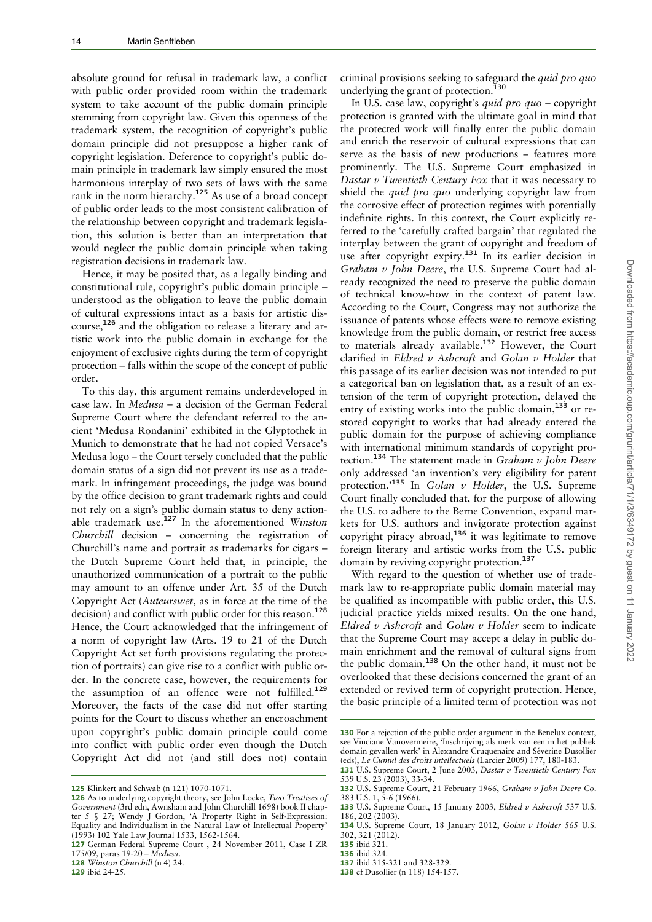absolute ground for refusal in trademark law, a conflict with public order provided room within the trademark system to take account of the public domain principle stemming from copyright law. Given this openness of the trademark system, the recognition of copyright's public domain principle did not presuppose a higher rank of copyright legislation. Deference to copyright's public domain principle in trademark law simply ensured the most harmonious interplay of two sets of laws with the same rank in the norm hierarchy.<sup>125</sup> As use of a broad concept of public order leads to the most consistent calibration of the relationship between copyright and trademark legislation, this solution is better than an interpretation that would neglect the public domain principle when taking registration decisions in trademark law.

Hence, it may be posited that, as a legally binding and constitutional rule, copyright's public domain principle – understood as the obligation to leave the public domain of cultural expressions intact as a basis for artistic discourse,<sup>126</sup> and the obligation to release a literary and artistic work into the public domain in exchange for the enjoyment of exclusive rights during the term of copyright protection – falls within the scope of the concept of public order.

To this day, this argument remains underdeveloped in case law. In Medusa – a decision of the German Federal Supreme Court where the defendant referred to the ancient 'Medusa Rondanini' exhibited in the Glyptothek in Munich to demonstrate that he had not copied Versace's Medusa logo – the Court tersely concluded that the public domain status of a sign did not prevent its use as a trademark. In infringement proceedings, the judge was bound by the office decision to grant trademark rights and could not rely on a sign's public domain status to deny actionable trademark use.<sup>127</sup> In the aforementioned Winston Churchill decision – concerning the registration of Churchill's name and portrait as trademarks for cigars – the Dutch Supreme Court held that, in principle, the unauthorized communication of a portrait to the public may amount to an offence under Art. 35 of the Dutch Copyright Act (Auteurswet, as in force at the time of the decision) and conflict with public order for this reason.<sup>128</sup> Hence, the Court acknowledged that the infringement of a norm of copyright law (Arts. 19 to 21 of the Dutch Copyright Act set forth provisions regulating the protection of portraits) can give rise to a conflict with public order. In the concrete case, however, the requirements for the assumption of an offence were not fulfilled.<sup>129</sup> Moreover, the facts of the case did not offer starting points for the Court to discuss whether an encroachment upon copyright's public domain principle could come into conflict with public order even though the Dutch Copyright Act did not (and still does not) contain

128 Winston Churchill (n 4) 24.

129 ibid 24-25.

criminal provisions seeking to safeguard the quid pro quo underlying the grant of protection.<sup>130</sup>

In U.S. case law, copyright's quid pro quo – copyright protection is granted with the ultimate goal in mind that the protected work will finally enter the public domain and enrich the reservoir of cultural expressions that can serve as the basis of new productions – features more prominently. The U.S. Supreme Court emphasized in Dastar  $v$  Twentieth Century Fox that it was necessary to shield the *quid pro quo* underlying copyright law from the corrosive effect of protection regimes with potentially indefinite rights. In this context, the Court explicitly referred to the 'carefully crafted bargain' that regulated the interplay between the grant of copyright and freedom of use after copyright expiry.<sup>131</sup> In its earlier decision in Graham v John Deere, the U.S. Supreme Court had already recognized the need to preserve the public domain of technical know-how in the context of patent law. According to the Court, Congress may not authorize the issuance of patents whose effects were to remove existing knowledge from the public domain, or restrict free access to materials already available.<sup>132</sup> However, the Court clarified in Eldred v Ashcroft and Golan v Holder that this passage of its earlier decision was not intended to put a categorical ban on legislation that, as a result of an extension of the term of copyright protection, delayed the entry of existing works into the public domain,<sup>133</sup> or restored copyright to works that had already entered the public domain for the purpose of achieving compliance with international minimum standards of copyright protection.<sup>134</sup> The statement made in Graham v John Deere only addressed 'an invention's very eligibility for patent protection.'<sup>135</sup> In Golan v Holder, the U.S. Supreme Court finally concluded that, for the purpose of allowing the U.S. to adhere to the Berne Convention, expand markets for U.S. authors and invigorate protection against copyright piracy abroad, $136$  it was legitimate to remove foreign literary and artistic works from the U.S. public domain by reviving copyright protection.<sup>137</sup>

With regard to the question of whether use of trademark law to re-appropriate public domain material may be qualified as incompatible with public order, this U.S. judicial practice yields mixed results. On the one hand, Eldred  $v$  Ashcroft and Golan  $v$  Holder seem to indicate that the Supreme Court may accept a delay in public domain enrichment and the removal of cultural signs from the public domain.<sup>138</sup> On the other hand, it must not be overlooked that these decisions concerned the grant of an extended or revived term of copyright protection. Hence, the basic principle of a limited term of protection was not

- 137 ibid 315-321 and 328-329.
- 138 cf Dusollier (n 118) 154-157.

<sup>125</sup> Klinkert and Schwab (n 121) 1070-1071.

<sup>126</sup> As to underlying copyright theory, see John Locke, Two Treatises of Government (3rd edn, Awnsham and John Churchill 1698) book II chapter 5 § 27; Wendy J Gordon, 'A Property Right in Self-Expression: Equality and Individualism in the Natural Law of Intellectual Property' (1993) 102 Yale Law Journal 1533, 1562-1564.

<sup>127</sup> German Federal Supreme Court , 24 November 2011, Case I ZR 175/09, paras 19-20 – Medusa.

<sup>130</sup> For a rejection of the public order argument in the Benelux context, see Vinciane Vanovermeire, 'Inschrijving als merk van een in het publiek domain gevallen werk' in Alexandre Cruquenaire and Séverine Dusollier (eds), Le Cumul des droits intellectuels (Larcier 2009) 177, 180-183.

<sup>131</sup> U.S. Supreme Court, 2 June 2003, Dastar v Twentieth Century Fox 539 U.S. 23 (2003), 33-34.

<sup>132</sup> U.S. Supreme Court, 21 February 1966, Graham v John Deere Co. 383 U.S. 1, 5-6 (1966).

<sup>133</sup> U.S. Supreme Court, 15 January 2003, Eldred v Ashcroft 537 U.S. 186, 202 (2003).

<sup>134</sup> U.S. Supreme Court, 18 January 2012, Golan v Holder 565 U.S. 302, 321 (2012).

<sup>135</sup> ibid 321.

<sup>136</sup> ibid 324.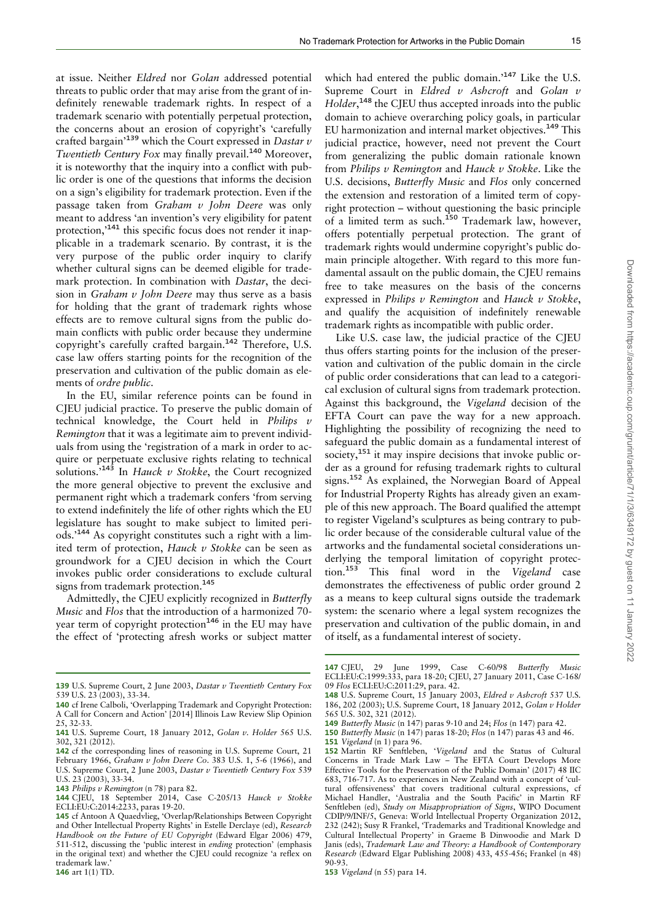at issue. Neither Eldred nor Golan addressed potential threats to public order that may arise from the grant of indefinitely renewable trademark rights. In respect of a trademark scenario with potentially perpetual protection, the concerns about an erosion of copyright's 'carefully crafted bargain<sup>'139</sup> which the Court expressed in *Dastar v* Twentieth Century Fox may finally prevail.<sup>140</sup> Moreover, it is noteworthy that the inquiry into a conflict with public order is one of the questions that informs the decision on a sign's eligibility for trademark protection. Even if the passage taken from Graham  $v$  John Deere was only meant to address 'an invention's very eligibility for patent protection,'<sup>141</sup> this specific focus does not render it inapplicable in a trademark scenario. By contrast, it is the very purpose of the public order inquiry to clarify whether cultural signs can be deemed eligible for trademark protection. In combination with Dastar, the decision in Graham  $v$  John Deere may thus serve as a basis for holding that the grant of trademark rights whose effects are to remove cultural signs from the public domain conflicts with public order because they undermine copyright's carefully crafted bargain.<sup>142</sup> Therefore, U.S. case law offers starting points for the recognition of the preservation and cultivation of the public domain as elements of ordre public.

In the EU, similar reference points can be found in CJEU judicial practice. To preserve the public domain of technical knowledge, the Court held in Philips  $v$ Remington that it was a legitimate aim to prevent individuals from using the 'registration of a mark in order to acquire or perpetuate exclusive rights relating to technical solutions.<sup>5143</sup> In Hauck v Stokke, the Court recognized the more general objective to prevent the exclusive and permanent right which a trademark confers 'from serving to extend indefinitely the life of other rights which the EU legislature has sought to make subject to limited periods.'<sup>144</sup> As copyright constitutes such a right with a limited term of protection, Hauck v Stokke can be seen as groundwork for a CJEU decision in which the Court invokes public order considerations to exclude cultural signs from trademark protection.<sup>145</sup>

Admittedly, the CJEU explicitly recognized in Butterfly Music and Flos that the introduction of a harmonized 70 year term of copyright protection<sup>146</sup> in the EU may have the effect of 'protecting afresh works or subject matter

which had entered the public domain.<sup>147</sup> Like the U.S. Supreme Court in Eldred  $v$  Ashcroft and Golan  $v$ Holder,<sup>148</sup> the CJEU thus accepted inroads into the public domain to achieve overarching policy goals, in particular EU harmonization and internal market objectives.<sup>149</sup> This judicial practice, however, need not prevent the Court from generalizing the public domain rationale known from Philips  $v$  Remington and Hauck  $v$  Stokke. Like the U.S. decisions, Butterfly Music and Flos only concerned the extension and restoration of a limited term of copyright protection – without questioning the basic principle of a limited term as such.<sup>150</sup> Trademark law, however, offers potentially perpetual protection. The grant of trademark rights would undermine copyright's public domain principle altogether. With regard to this more fundamental assault on the public domain, the CJEU remains free to take measures on the basis of the concerns expressed in Philips  $v$  Remington and Hauck  $v$  Stokke, and qualify the acquisition of indefinitely renewable trademark rights as incompatible with public order.

Like U.S. case law, the judicial practice of the CJEU thus offers starting points for the inclusion of the preservation and cultivation of the public domain in the circle of public order considerations that can lead to a categorical exclusion of cultural signs from trademark protection. Against this background, the Vigeland decision of the EFTA Court can pave the way for a new approach. Highlighting the possibility of recognizing the need to safeguard the public domain as a fundamental interest of society,<sup>151</sup> it may inspire decisions that invoke public order as a ground for refusing trademark rights to cultural signs.<sup>152</sup> As explained, the Norwegian Board of Appeal for Industrial Property Rights has already given an example of this new approach. The Board qualified the attempt to register Vigeland's sculptures as being contrary to public order because of the considerable cultural value of the artworks and the fundamental societal considerations underlying the temporal limitation of copyright protection.<sup>153</sup> This final word in the Vigeland case demonstrates the effectiveness of public order ground 2 as a means to keep cultural signs outside the trademark system: the scenario where a legal system recognizes the preservation and cultivation of the public domain, in and of itself, as a fundamental interest of society.

147 CIEU, 29 June 1999, Case C-60/98 Butterfly Music ECLI:EU:C:1999:333, para 18-20; CJEU, 27 January 2011, Case C-168/ 09 Flos ECLI:EU:C:2011:29, para. 42.

<sup>139</sup> U.S. Supreme Court, 2 June 2003, Dastar v Twentieth Century Fox 539 U.S. 23 (2003), 33-34.

<sup>140</sup> cf Irene Calboli, 'Overlapping Trademark and Copyright Protection: A Call for Concern and Action' [2014] Illinois Law Review Slip Opinion 25, 32-33.

<sup>141</sup> U.S. Supreme Court, 18 January 2012, Golan v. Holder 565 U.S.  $302.321(2012)$ .

<sup>142</sup> cf the corresponding lines of reasoning in U.S. Supreme Court, 21 February 1966, Graham v John Deere Co. 383 U.S. 1, 5-6 (1966), and U.S. Supreme Court, 2 June 2003, Dastar v Twentieth Century Fox 539 U.S. 23 (2003), 33-34.

<sup>143</sup> Philips v Remington (n 78) para 82.

<sup>144</sup> CJEU, 18 September 2014, Case C-205/13 Hauck v Stokke ECLI:EU:C:2014:2233, paras 19-20.

<sup>145</sup> cf Antoon A Quaedvlieg, 'Overlap/Relationships Between Copyright and Other Intellectual Property Rights' in Estelle Derclaye (ed), Research Handbook on the Future of EU Copyright (Edward Elgar 2006) 479, 511-512, discussing the 'public interest in ending protection' (emphasis in the original text) and whether the CJEU could recognize 'a reflex on trademark law.'

<sup>148</sup> U.S. Supreme Court, 15 January 2003, Eldred v Ashcroft 537 U.S. 186, 202 (2003); U.S. Supreme Court, 18 January 2012, Golan v Holder 565 U.S. 302, 321 (2012).

<sup>149</sup> Butterfly Music (n 147) paras 9-10 and 24; Flos (n 147) para 42.

<sup>150</sup> Butterfly Music (n 147) paras 18-20; Flos (n 147) paras 43 and 46. 151 Vigeland (n 1) para 96.

<sup>152</sup> Martin RF Senftleben, 'Vigeland and the Status of Cultural Concerns in Trade Mark Law – The EFTA Court Develops More Effective Tools for the Preservation of the Public Domain' (2017) 48 IIC 683, 716-717. As to experiences in New Zealand with a concept of 'cultural offensiveness' that covers traditional cultural expressions, cf Michael Handler, 'Australia and the South Pacific' in Martin RF Senftleben (ed), Study on Misappropriation of Signs, WIPO Document CDIP/9/INF/5, Geneva: World Intellectual Property Organization 2012, 232 (242); Susy R Frankel, 'Trademarks and Traditional Knowledge and Cultural Intellectual Property' in Graeme B Dinwoodie and Mark D Janis (eds), Trademark Law and Theory: a Handbook of Contemporary Research (Edward Elgar Publishing 2008) 433, 455-456; Frankel (n 48) 90-93.

<sup>153</sup> Vigeland (n 55) para 14.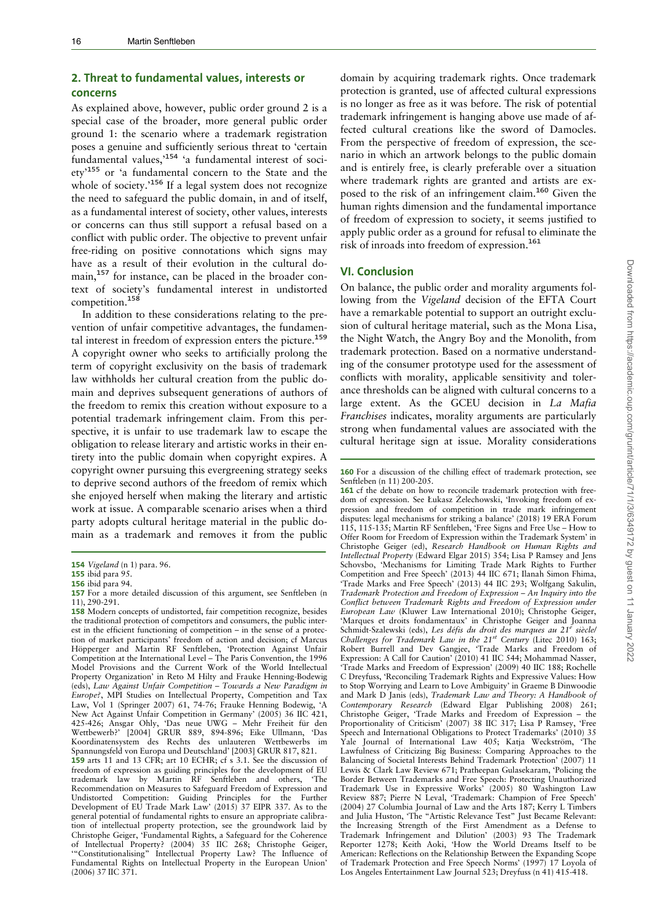### 2. Threat to fundamental values, interests or concerns

As explained above, however, public order ground 2 is a special case of the broader, more general public order ground 1: the scenario where a trademark registration poses a genuine and sufficiently serious threat to 'certain fundamental values,'<sup>154</sup> 'a fundamental interest of society'<sup>155</sup> or 'a fundamental concern to the State and the whole of society.'<sup>156</sup> If a legal system does not recognize the need to safeguard the public domain, in and of itself, as a fundamental interest of society, other values, interests or concerns can thus still support a refusal based on a conflict with public order. The objective to prevent unfair free-riding on positive connotations which signs may have as a result of their evolution in the cultural domain,<sup>157</sup> for instance, can be placed in the broader context of society's fundamental interest in undistorted competition.<sup>158</sup>

In addition to these considerations relating to the prevention of unfair competitive advantages, the fundamental interest in freedom of expression enters the picture.<sup>159</sup> A copyright owner who seeks to artificially prolong the term of copyright exclusivity on the basis of trademark law withholds her cultural creation from the public domain and deprives subsequent generations of authors of the freedom to remix this creation without exposure to a potential trademark infringement claim. From this perspective, it is unfair to use trademark law to escape the obligation to release literary and artistic works in their entirety into the public domain when copyright expires. A copyright owner pursuing this evergreening strategy seeks to deprive second authors of the freedom of remix which she enjoyed herself when making the literary and artistic work at issue. A comparable scenario arises when a third party adopts cultural heritage material in the public domain as a trademark and removes it from the public domain by acquiring trademark rights. Once trademark protection is granted, use of affected cultural expressions is no longer as free as it was before. The risk of potential trademark infringement is hanging above use made of affected cultural creations like the sword of Damocles. From the perspective of freedom of expression, the scenario in which an artwork belongs to the public domain and is entirely free, is clearly preferable over a situation where trademark rights are granted and artists are exposed to the risk of an infringement claim.<sup>160</sup> Given the human rights dimension and the fundamental importance of freedom of expression to society, it seems justified to apply public order as a ground for refusal to eliminate the risk of inroads into freedom of expression.<sup>161</sup>

#### VI. Conclusion

On balance, the public order and morality arguments following from the Vigeland decision of the EFTA Court have a remarkable potential to support an outright exclusion of cultural heritage material, such as the Mona Lisa, the Night Watch, the Angry Boy and the Monolith, from trademark protection. Based on a normative understanding of the consumer prototype used for the assessment of conflicts with morality, applicable sensitivity and tolerance thresholds can be aligned with cultural concerns to a large extent. As the GCEU decision in La Mafia Franchises indicates, morality arguments are particularly strong when fundamental values are associated with the cultural heritage sign at issue. Morality considerations

161 cf the debate on how to reconcile trademark protection with freedom of expression. See Łukasz Żelechowski, 'Invoking freedom of expression and freedom of competition in trade mark infringement disputes: legal mechanisms for striking a balance' (2018) 19 ERA Forum 115, 115-135; Martin RF Senftleben, 'Free Signs and Free Use – How to Offer Room for Freedom of Expression within the Trademark System' in Christophe Geiger (ed), Research Handbook on Human Rights and Intellectual Property (Edward Elgar 2015) 354; Lisa P Ramsey and Jens Schovsbo, 'Mechanisms for Limiting Trade Mark Rights to Further Competition and Free Speech' (2013) 44 IIC 671; Ilanah Simon Fhima, 'Trade Marks and Free Speech' (2013) 44 IIC 293; Wolfgang Sakulin, Trademark Protection and Freedom of Expression – An Inquiry into the Conflict between Trademark Rights and Freedom of Expression under European Law (Kluwer Law International 2010); Christophe Geiger, 'Marques et droits fondamentaux' in Christophe Geiger and Joanna Schmidt-Szalewski (eds), Les défis du droit des marques au 21<sup>e</sup> siècle/ Challenges for Trademark Law in the  $21^{st}$  Century (Litec 2010) 163; Robert Burrell and Dev Gangjee, 'Trade Marks and Freedom of Expression: A Call for Caution' (2010) 41 IIC 544; Mohammad Nasser, 'Trade Marks and Freedom of Expression' (2009) 40 IIC 188; Rochelle C Dreyfuss, 'Reconciling Trademark Rights and Expressive Values: How to Stop Worrying and Learn to Love Ambiguity' in Graeme B Dinwoodie and Mark D Janis (eds), Trademark Law and Theory: A Handbook of Contemporary Research (Edward Elgar Publishing 2008) 261; Christophe Geiger, 'Trade Marks and Freedom of Expression – the Proportionality of Criticism' (2007) 38 IIC 317; Lisa P Ramsey, 'Free Speech and International Obligations to Protect Trademarks' (2010) 35<br>Yale Journal of International Law 405: Katia Weckström. The Yale Journal of International Law 405; Katja Weckström, Lawfulness of Criticizing Big Business: Comparing Approaches to the Balancing of Societal Interests Behind Trademark Protection' (2007) 11 Lewis & Clark Law Review 671; Pratheepan Gulasekaram, 'Policing the Border Between Trademarks and Free Speech: Protecting Unauthorized Trademark Use in Expressive Works' (2005) 80 Washington Law Review 887; Pierre N Leval, 'Trademark: Champion of Free Speech' (2004) 27 Columbia Journal of Law and the Arts 187; Kerry L Timbers and Julia Huston, 'The "Artistic Relevance Test" Just Became Relevant: the Increasing Strength of the First Amendment as a Defense to Trademark Infringement and Dilution' (2003) 93 The Trademark Reporter 1278; Keith Aoki, 'How the World Dreams Itself to be American: Reflections on the Relationship Between the Expanding Scope of Trademark Protection and Free Speech Norms' (1997) 17 Loyola of Los Angeles Entertainment Law Journal 523; Dreyfuss (n 41) 415-418.

<sup>154</sup> Vigeland (n 1) para. 96.

<sup>155</sup> ibid para 95.

<sup>156</sup> ibid para 94.

<sup>157</sup> For a more detailed discussion of this argument, see Senftleben (n 11), 290-291.

<sup>158</sup> Modern concepts of undistorted, fair competition recognize, besides the traditional protection of competitors and consumers, the public interest in the efficient functioning of competition – in the sense of a protection of market participants' freedom of action and decision; cf Marcus Höpperger and Martin RF Senftleben, 'Protection Against Unfair Competition at the International Level – The Paris Convention, the 1996 Model Provisions and the Current Work of the World Intellectual Property Organization' in Reto M Hilty and Frauke Henning-Bodewig (eds), Law Against Unfair Competition – Towards a New Paradigm in Europe?, MPI Studies on Intellectual Property, Competition and Tax Law, Vol 1 (Springer 2007) 61, 74-76; Frauke Henning Bodewig, 'A New Act Against Unfair Competition in Germany' (2005) 36 IIC 421, 425-426; Ansgar Ohly, 'Das neue UWG - Mehr Freiheit für den Wettbewerb?' [2004] GRUR 889, 894-896; Eike Ullmann, 'Das Koordinatensystem des Rechts des unlauteren Wettbewerbs im Spannungsfeld von Europa und Deutschland' [2003] GRUR 817, 821. 159 arts 11 and 13 CFR; art 10 ECHR; cf s 3.1. See the discussion of freedom of expression as guiding principles for the development of EU trademark law by Martin RF Senftleben and others, 'The Recommendation on Measures to Safeguard Freedom of Expression and Undistorted Competition: Guiding Principles for the Further Development of EU Trade Mark Law' (2015) 37 EIPR 337. As to the general potential of fundamental rights to ensure an appropriate calibration of intellectual property protection, see the groundwork laid by Christophe Geiger, 'Fundamental Rights, a Safeguard for the Coherence of Intellectual Property? (2004) 35 IIC 268; Christophe Geiger, '"Constitutionalising" Intellectual Property Law? The Influence of Fundamental Rights on Intellectual Property in the European Union' (2006) 37 IIC 371.

<sup>160</sup> For a discussion of the chilling effect of trademark protection, see Senftleben (n 11) 200-205.